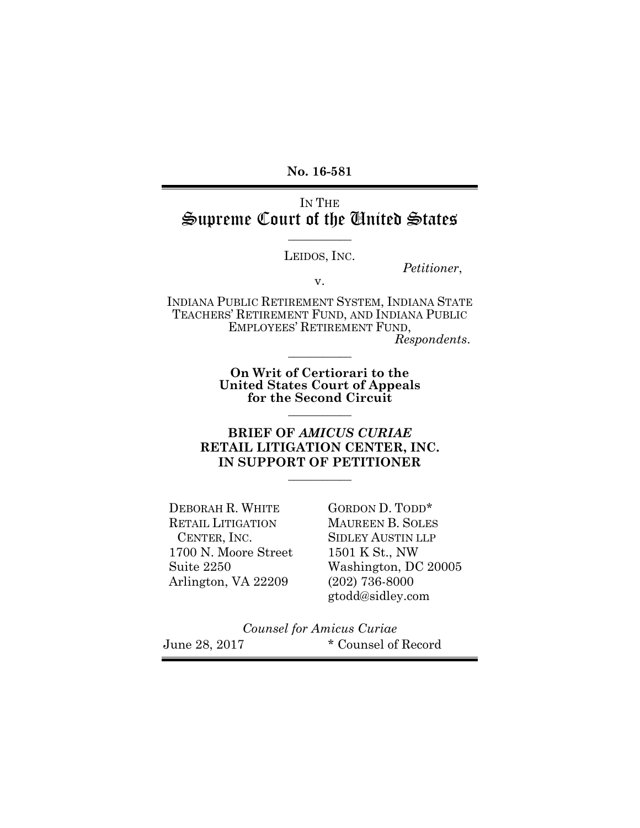**No. 16-581**

## IN THE Supreme Court of the United States

**\_\_\_\_\_\_\_\_\_\_\_** LEIDOS, INC.

*Petitioner*,

v.

INDIANA PUBLIC RETIREMENT SYSTEM, INDIANA STATE TEACHERS' RETIREMENT FUND, AND INDIANA PUBLIC EMPLOYEES' RETIREMENT FUND, *Respondents*.

> **On Writ of Certiorari to the United States Court of Appeals for the Second Circuit**

> > **\_\_\_\_\_\_\_\_\_\_\_**

**\_\_\_\_\_\_\_\_\_\_\_**

**BRIEF OF** *AMICUS CURIAE* **RETAIL LITIGATION CENTER, INC. IN SUPPORT OF PETITIONER**

**\_\_\_\_\_\_\_\_\_\_\_**

DEBORAH R. WHITE RETAIL LITIGATION CENTER, INC. SIDLEY AUSTIN LLP 1700 N. Moore Street 1501 K St., NW Arlington, VA 22209 (202) 736-8000

GORDON D. TODD\* MAUREEN B. SOLES Suite 2250 Washington, DC 20005 gtodd@sidley.com

*Counsel for Amicus Curiae* June 28, 2017 \* Counsel of Record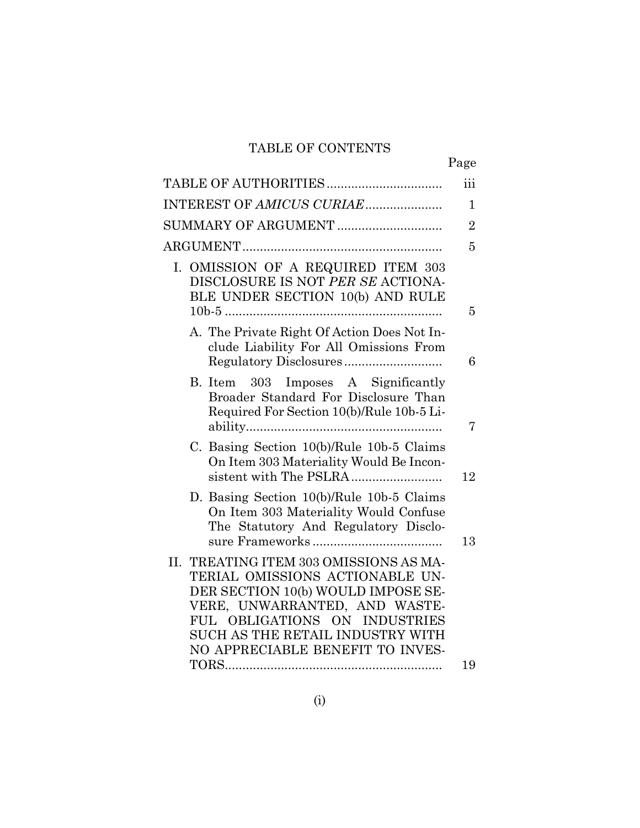# TABLE OF CONTENTS

|                                                                                                                                                                                                                                                                     | Page           |
|---------------------------------------------------------------------------------------------------------------------------------------------------------------------------------------------------------------------------------------------------------------------|----------------|
|                                                                                                                                                                                                                                                                     | iii            |
| INTEREST OF AMICUS CURIAE                                                                                                                                                                                                                                           | 1              |
| SUMMARY OF ARGUMENT                                                                                                                                                                                                                                                 | $\overline{2}$ |
|                                                                                                                                                                                                                                                                     | 5              |
| I. OMISSION OF A REQUIRED ITEM 303<br>DISCLOSURE IS NOT PER SE ACTIONA-<br>BLE UNDER SECTION 10(b) AND RULE                                                                                                                                                         |                |
|                                                                                                                                                                                                                                                                     | 5              |
| A. The Private Right Of Action Does Not In-<br>clude Liability For All Omissions From                                                                                                                                                                               | 6              |
| B. Item 303 Imposes A Significantly<br>Broader Standard For Disclosure Than<br>Required For Section 10(b)/Rule 10b-5 Li-                                                                                                                                            | 7              |
| C. Basing Section 10(b)/Rule 10b-5 Claims<br>On Item 303 Materiality Would Be Incon-                                                                                                                                                                                | 12             |
| D. Basing Section 10(b)/Rule 10b-5 Claims<br>On Item 303 Materiality Would Confuse<br>The Statutory And Regulatory Disclo-                                                                                                                                          | 13             |
| II. TREATING ITEM 303 OMISSIONS AS MA-<br>TERIAL OMISSIONS ACTIONABLE UN-<br>DER SECTION 10(b) WOULD IMPOSE SE-<br>VERE, UNWARRANTED, AND WASTE-<br>FUL OBLIGATIONS ON<br><b>INDUSTRIES</b><br>SUCH AS THE RETAIL INDUSTRY WITH<br>NO APPRECIABLE BENEFIT TO INVES- | 19             |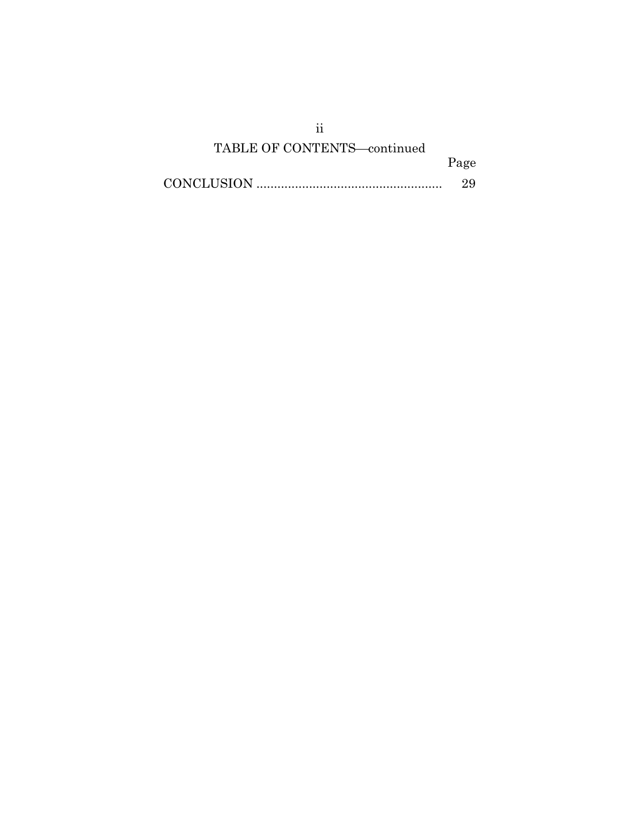# TABLE OF CONTENTS—continued

| Page |
|------|
|      |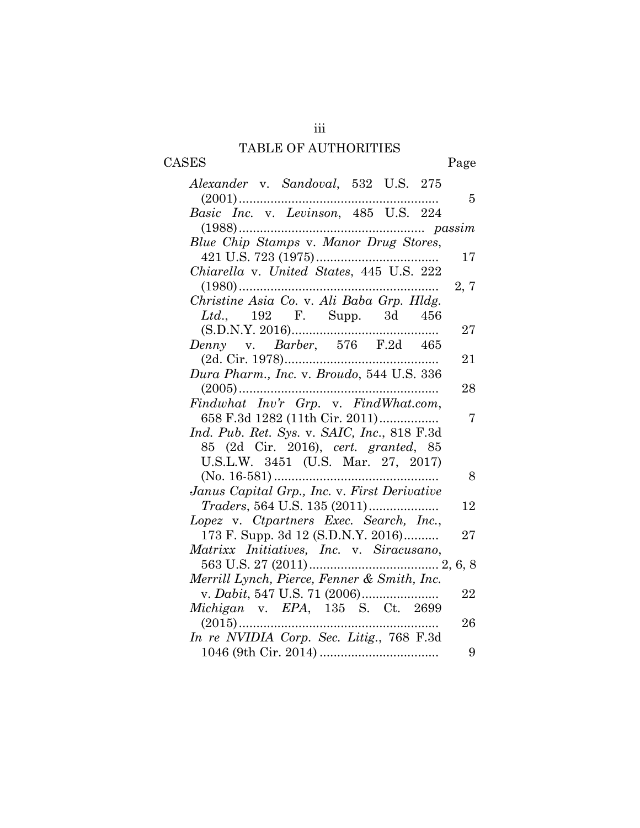## TABLE OF AUTHORITIES

CASES Page

| Alexander v. Sandoval, 532 U.S. 275                                                                                                       |      |
|-------------------------------------------------------------------------------------------------------------------------------------------|------|
|                                                                                                                                           | 5    |
| Basic Inc. v. Levinson, 485 U.S. 224                                                                                                      |      |
| $[1988] \label{eq:1988} \begin{minipage}{0.9\linewidth} \textbf{Blue} \textbf{Chip Stamps v.} \textbf{Manor Drug Stores,} \end{minipage}$ |      |
|                                                                                                                                           | 17   |
| Chiarella v. United States, 445 U.S. 222                                                                                                  |      |
| $(1980)$                                                                                                                                  | 2, 7 |
| Christine Asia Co. v. Ali Baba Grp. Hldg.                                                                                                 |      |
| Ltd., 192 F. Supp. 3d 456                                                                                                                 |      |
|                                                                                                                                           | 27   |
| $\begin{tabular}{c} (S.D.N.Y.~2016)\\ Denny & v. ~Barber, ~576 F.2d ~465 \end{tabular}$                                                   |      |
|                                                                                                                                           | 21   |
| Dura Pharm., Inc. v. Broudo, 544 U.S. 336                                                                                                 |      |
| $(2005)$                                                                                                                                  | 28   |
| Findwhat Inv'r Grp. v. FindWhat.com,                                                                                                      |      |
| 658 F.3d 1282 (11th Cir. 2011)                                                                                                            | 7    |
| Ind. Pub. Ret. Sys. v. SAIC, Inc., 818 F.3d                                                                                               |      |
| 85 (2d Cir. 2016), cert. granted, 85                                                                                                      |      |
| U.S.L.W. 3451 (U.S. Mar. 27, 2017)                                                                                                        |      |
|                                                                                                                                           | 8    |
| Janus Capital Grp., Inc. v. First Derivative                                                                                              |      |
|                                                                                                                                           | 12   |
| Lopez v. Ctpartners Exec. Search, Inc.,                                                                                                   |      |
| 173 F. Supp. 3d 12 (S.D.N.Y. 2016)                                                                                                        | 27   |
| Matrixx Initiatives, Inc. v. Siracusano,                                                                                                  |      |
|                                                                                                                                           |      |
| Merrill Lynch, Pierce, Fenner & Smith, Inc.                                                                                               |      |
|                                                                                                                                           | 22   |
| Michigan v. EPA, 135 S. Ct. 2699                                                                                                          |      |
|                                                                                                                                           | 26   |
| In re NVIDIA Corp. Sec. Litig., 768 F.3d                                                                                                  |      |
|                                                                                                                                           | 9    |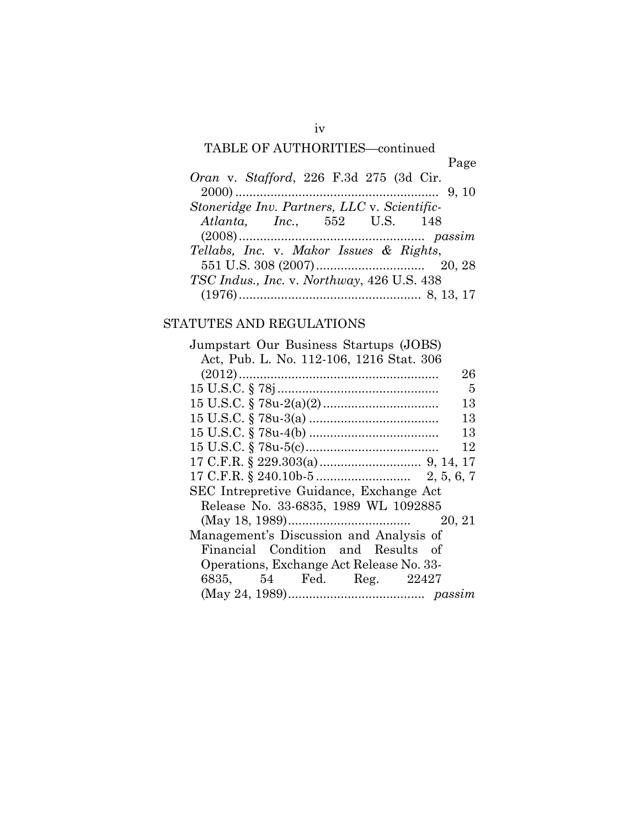## TABLE OF AUTHORITIES—continued

|                                              | Page |
|----------------------------------------------|------|
| Oran v. Stafford, 226 F.3d 275 (3d Cir.      |      |
|                                              |      |
| Stoneridge Inv. Partners, LLC v. Scientific- |      |
| <i>Atlanta</i> , <i>Inc.</i> , 552 U.S. 148  |      |
|                                              |      |
| Tellabs, Inc. v. Makor Issues & Rights,      |      |
|                                              |      |
| TSC Indus., Inc. v. Northway, 426 U.S. 438   |      |
|                                              |      |

## STATUTES AND REGULATIONS

| Jumpstart Our Business Startups (JOBS)   |
|------------------------------------------|
| Act, Pub. L. No. 112-106, 1216 Stat. 306 |
| 26                                       |
| 5                                        |
| 13                                       |
| 13                                       |
| 13                                       |
| 12                                       |
|                                          |
|                                          |
| SEC Intrepretive Guidance, Exchange Act  |
| Release No. 33-6835, 1989 WL 1092885     |
|                                          |
| Management's Discussion and Analysis of  |
| Financial Condition and Results of       |
| Operations, Exchange Act Release No. 33- |
| 6835, 54 Fed. Reg. 22427                 |
|                                          |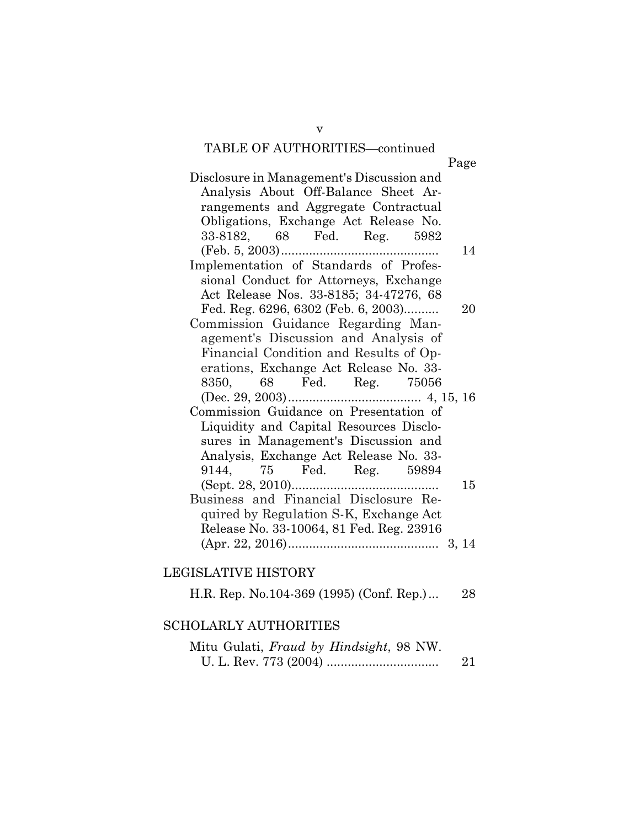## TABLE OF AUTHORITIES—continued

|                                           | Page  |
|-------------------------------------------|-------|
| Disclosure in Management's Discussion and |       |
| Analysis About Off-Balance Sheet Ar-      |       |
| rangements and Aggregate Contractual      |       |
| Obligations, Exchange Act Release No.     |       |
| 33-8182, 68 Fed. Reg. 5982                |       |
|                                           | 14    |
| Implementation of Standards of Profes-    |       |
| sional Conduct for Attorneys, Exchange    |       |
| Act Release Nos. 33-8185; 34-47276, 68    |       |
| Fed. Reg. 6296, 6302 (Feb. 6, 2003)       | 20    |
| Commission Guidance Regarding Man-        |       |
| agement's Discussion and Analysis of      |       |
| Financial Condition and Results of Op-    |       |
| erations, Exchange Act Release No. 33-    |       |
| 8350, 68 Fed. Reg. 75056                  |       |
|                                           |       |
| Commission Guidance on Presentation of    |       |
| Liquidity and Capital Resources Disclo-   |       |
| sures in Management's Discussion and      |       |
| Analysis, Exchange Act Release No. 33-    |       |
| 9144, 75 Fed. Reg. 59894                  |       |
|                                           | 15    |
| Business and Financial Disclosure Re-     |       |
| quired by Regulation S-K, Exchange Act    |       |
| Release No. 33-10064, 81 Fed. Reg. 23916  |       |
|                                           | 3, 14 |
|                                           |       |

## LEGISLATIVE HISTORY

H.R. Rep. No.104-369 (1995) (Conf. Rep.)... 28

## SCHOLARLY AUTHORITIES

| Mitu Gulati, Fraud by Hindsight, 98 NW. |    |
|-----------------------------------------|----|
|                                         | 21 |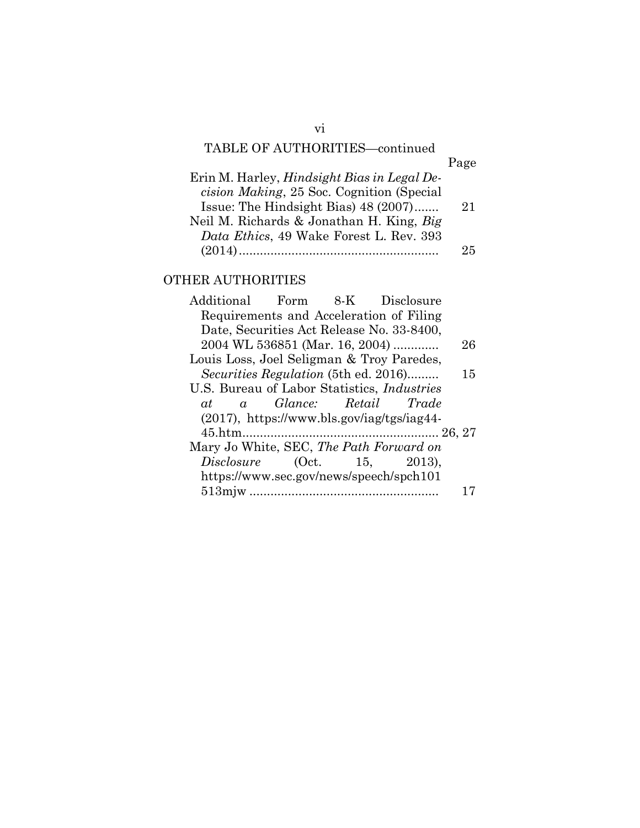### TABLE OF AUTHORITIES—continued

Page Erin M. Harley, *Hindsight Bias in Legal Decision Making*, 25 Soc. Cognition (Special Issue: The Hindsight Bias) 48 (2007)....... 21 Neil M. Richards & Jonathan H. King, *Big Data Ethics*, 49 Wake Forest L. Rev. 393 (2014)......................................................... 25

#### OTHER AUTHORITIES

| Additional Form 8-K Disclosure                     |  |  |    |
|----------------------------------------------------|--|--|----|
| Requirements and Acceleration of Filing            |  |  |    |
| Date, Securities Act Release No. 33-8400,          |  |  |    |
| 2004 WL 536851 (Mar. 16, 2004)                     |  |  | 26 |
| Louis Loss, Joel Seligman & Troy Paredes,          |  |  |    |
| <i>Securities Regulation</i> (5th ed. 2016)        |  |  | 15 |
| U.S. Bureau of Labor Statistics, <i>Industries</i> |  |  |    |
| at a Glance: Retail Trade                          |  |  |    |
| $(2017)$ , https://www.bls.gov/iag/tgs/iag44-      |  |  |    |
|                                                    |  |  |    |
| Mary Jo White, SEC, The Path Forward on            |  |  |    |
| <i>Disclosure</i> (Oct. 15, 2013),                 |  |  |    |
| https://www.sec.gov/news/speech/spch101            |  |  |    |
|                                                    |  |  |    |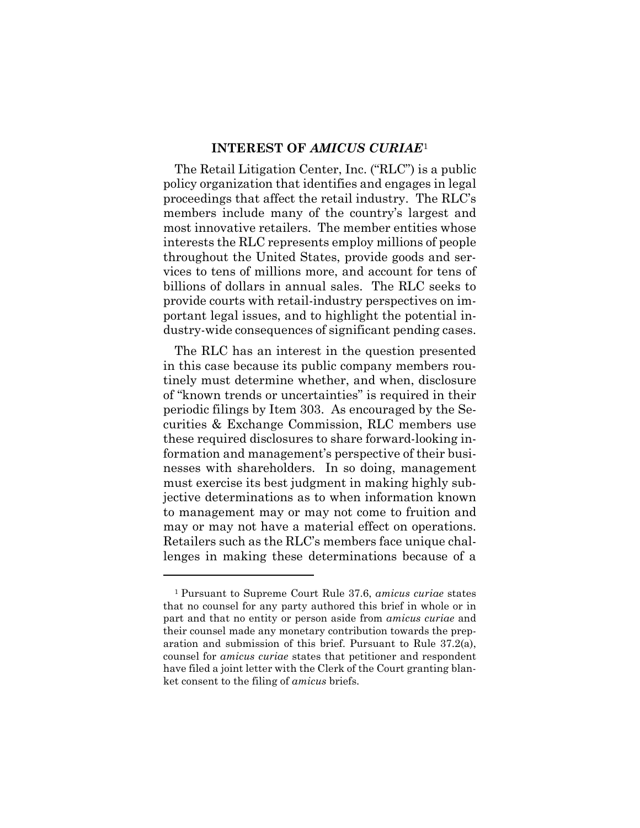#### **INTEREST OF** *AMICUS CURIAE*<sup>1</sup>

The Retail Litigation Center, Inc. ("RLC") is a public policy organization that identifies and engages in legal proceedings that affect the retail industry. The RLC's members include many of the country's largest and most innovative retailers. The member entities whose interests the RLC represents employ millions of people throughout the United States, provide goods and services to tens of millions more, and account for tens of billions of dollars in annual sales. The RLC seeks to provide courts with retail-industry perspectives on important legal issues, and to highlight the potential industry-wide consequences of significant pending cases.

The RLC has an interest in the question presented in this case because its public company members routinely must determine whether, and when, disclosure of "known trends or uncertainties" is required in their periodic filings by Item 303. As encouraged by the Securities & Exchange Commission, RLC members use these required disclosures to share forward-looking information and management's perspective of their businesses with shareholders. In so doing, management must exercise its best judgment in making highly subjective determinations as to when information known to management may or may not come to fruition and may or may not have a material effect on operations. Retailers such as the RLC's members face unique challenges in making these determinations because of a

 $\overline{a}$ 

<sup>1</sup> Pursuant to Supreme Court Rule 37.6, *amicus curiae* states that no counsel for any party authored this brief in whole or in part and that no entity or person aside from *amicus curiae* and their counsel made any monetary contribution towards the preparation and submission of this brief. Pursuant to Rule 37.2(a), counsel for *amicus curiae* states that petitioner and respondent have filed a joint letter with the Clerk of the Court granting blanket consent to the filing of *amicus* briefs.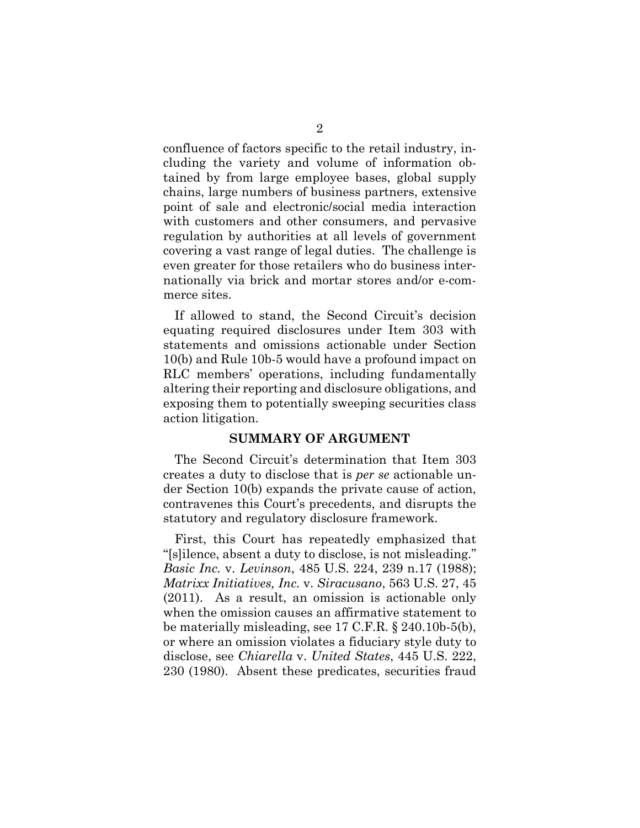confluence of factors specific to the retail industry, including the variety and volume of information obtained by from large employee bases, global supply chains, large numbers of business partners, extensive point of sale and electronic/social media interaction with customers and other consumers, and pervasive regulation by authorities at all levels of government covering a vast range of legal duties. The challenge is even greater for those retailers who do business internationally via brick and mortar stores and/or e-commerce sites.

If allowed to stand, the Second Circuit's decision equating required disclosures under Item 303 with statements and omissions actionable under Section 10(b) and Rule 10b-5 would have a profound impact on RLC members' operations, including fundamentally altering their reporting and disclosure obligations, and exposing them to potentially sweeping securities class action litigation.

#### **SUMMARY OF ARGUMENT**

The Second Circuit's determination that Item 303 creates a duty to disclose that is *per se* actionable under Section 10(b) expands the private cause of action, contravenes this Court's precedents, and disrupts the statutory and regulatory disclosure framework.

First, this Court has repeatedly emphasized that "[s]ilence, absent a duty to disclose, is not misleading." *Basic Inc.* v. *Levinson*, 485 U.S. 224, 239 n.17 (1988); *Matrixx Initiatives, Inc.* v. *Siracusano*, 563 U.S. 27, 45 (2011). As a result, an omission is actionable only when the omission causes an affirmative statement to be materially misleading, see 17 C.F.R. § 240.10b-5(b), or where an omission violates a fiduciary style duty to disclose, see *Chiarella* v. *United States*, 445 U.S. 222, 230 (1980). Absent these predicates, securities fraud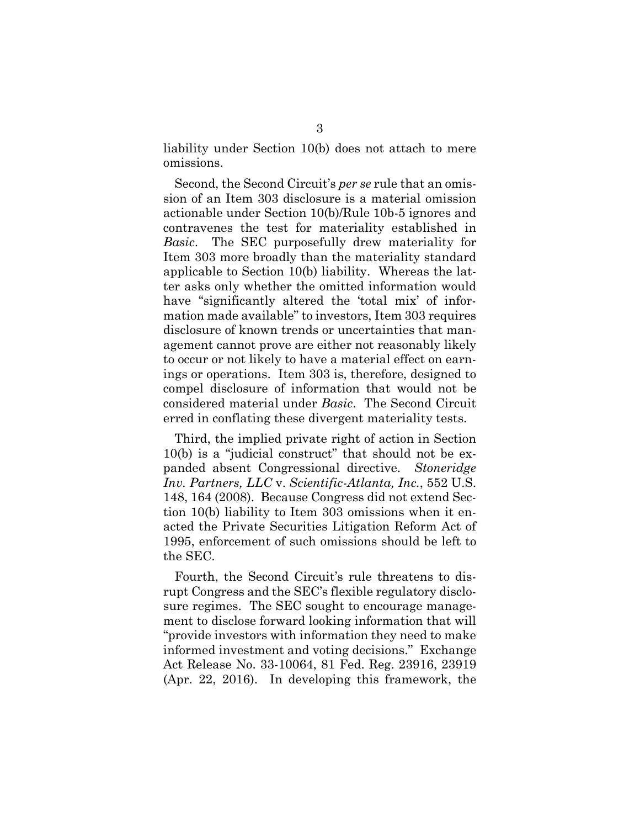liability under Section 10(b) does not attach to mere omissions.

Second, the Second Circuit's *per se* rule that an omission of an Item 303 disclosure is a material omission actionable under Section 10(b)/Rule 10b-5 ignores and contravenes the test for materiality established in *Basic*. The SEC purposefully drew materiality for Item 303 more broadly than the materiality standard applicable to Section 10(b) liability. Whereas the latter asks only whether the omitted information would have "significantly altered the 'total mix' of information made available" to investors, Item 303 requires disclosure of known trends or uncertainties that management cannot prove are either not reasonably likely to occur or not likely to have a material effect on earnings or operations. Item 303 is, therefore, designed to compel disclosure of information that would not be considered material under *Basic*. The Second Circuit erred in conflating these divergent materiality tests.

Third, the implied private right of action in Section 10(b) is a "judicial construct" that should not be expanded absent Congressional directive. *Stoneridge Inv. Partners, LLC* v. *Scientific-Atlanta, Inc.*, 552 U.S. 148, 164 (2008). Because Congress did not extend Section 10(b) liability to Item 303 omissions when it enacted the Private Securities Litigation Reform Act of 1995, enforcement of such omissions should be left to the SEC.

Fourth, the Second Circuit's rule threatens to disrupt Congress and the SEC's flexible regulatory disclosure regimes. The SEC sought to encourage management to disclose forward looking information that will "provide investors with information they need to make informed investment and voting decisions." Exchange Act Release No. 33-10064, 81 Fed. Reg. 23916, 23919 (Apr. 22, 2016). In developing this framework, the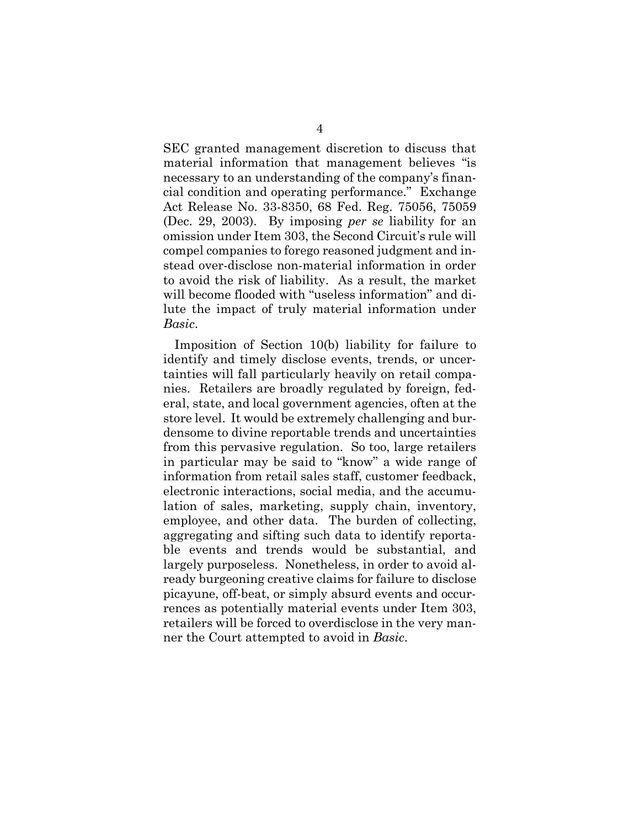SEC granted management discretion to discuss that material information that management believes "is necessary to an understanding of the company's financial condition and operating performance." Exchange Act Release No. 33-8350, 68 Fed. Reg. 75056, 75059 (Dec. 29, 2003). By imposing *per se* liability for an omission under Item 303, the Second Circuit's rule will compel companies to forego reasoned judgment and instead over-disclose non-material information in order to avoid the risk of liability. As a result, the market will become flooded with "useless information" and dilute the impact of truly material information under *Basic*.

Imposition of Section 10(b) liability for failure to identify and timely disclose events, trends, or uncertainties will fall particularly heavily on retail companies. Retailers are broadly regulated by foreign, federal, state, and local government agencies, often at the store level. It would be extremely challenging and burdensome to divine reportable trends and uncertainties from this pervasive regulation. So too, large retailers in particular may be said to "know" a wide range of information from retail sales staff, customer feedback, electronic interactions, social media, and the accumulation of sales, marketing, supply chain, inventory, employee, and other data. The burden of collecting, aggregating and sifting such data to identify reportable events and trends would be substantial, and largely purposeless. Nonetheless, in order to avoid already burgeoning creative claims for failure to disclose picayune, off-beat, or simply absurd events and occurrences as potentially material events under Item 303, retailers will be forced to overdisclose in the very manner the Court attempted to avoid in *Basic*.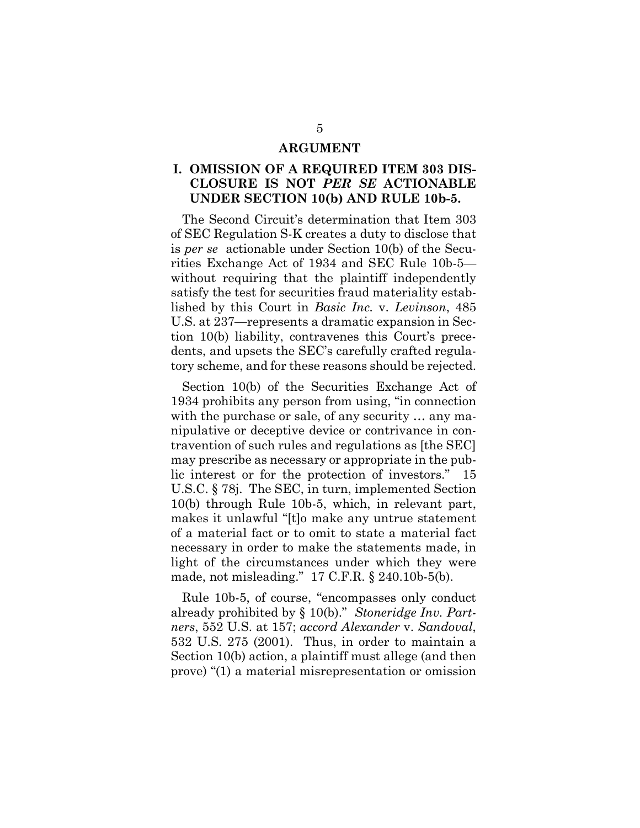#### **ARGUMENT**

#### **I. OMISSION OF A REQUIRED ITEM 303 DIS-CLOSURE IS NOT** *PER SE* **ACTIONABLE UNDER SECTION 10(b) AND RULE 10b-5.**

The Second Circuit's determination that Item 303 of SEC Regulation S-K creates a duty to disclose that is *per se* actionable under Section 10(b) of the Securities Exchange Act of 1934 and SEC Rule 10b-5 without requiring that the plaintiff independently satisfy the test for securities fraud materiality established by this Court in *Basic Inc.* v. *Levinson*, 485 U.S. at 237—represents a dramatic expansion in Section 10(b) liability, contravenes this Court's precedents, and upsets the SEC's carefully crafted regulatory scheme, and for these reasons should be rejected.

Section 10(b) of the Securities Exchange Act of 1934 prohibits any person from using, "in connection with the purchase or sale, of any security … any manipulative or deceptive device or contrivance in contravention of such rules and regulations as [the SEC] may prescribe as necessary or appropriate in the public interest or for the protection of investors." 15 U.S.C. § 78j. The SEC, in turn, implemented Section 10(b) through Rule 10b-5, which, in relevant part, makes it unlawful "[t]o make any untrue statement of a material fact or to omit to state a material fact necessary in order to make the statements made, in light of the circumstances under which they were made, not misleading." 17 C.F.R. § 240.10b-5(b).

Rule 10b-5, of course, "encompasses only conduct already prohibited by § 10(b)." *Stoneridge Inv. Partners*, 552 U.S. at 157; *accord Alexander* v. *Sandoval*, 532 U.S. 275 (2001). Thus, in order to maintain a Section 10(b) action, a plaintiff must allege (and then prove) "(1) a material misrepresentation or omission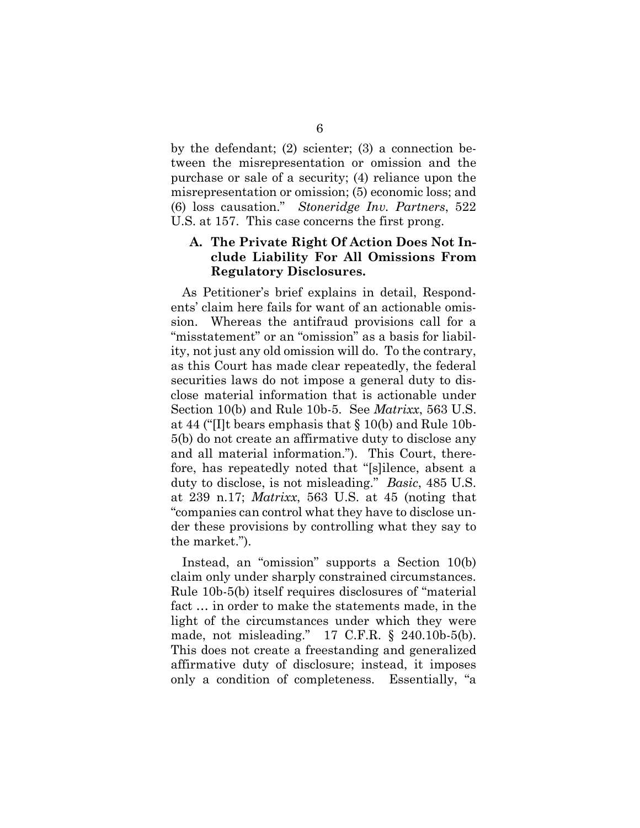by the defendant; (2) scienter; (3) a connection between the misrepresentation or omission and the purchase or sale of a security; (4) reliance upon the misrepresentation or omission; (5) economic loss; and (6) loss causation." *Stoneridge Inv. Partners*, 522 U.S. at 157. This case concerns the first prong.

#### **A. The Private Right Of Action Does Not Include Liability For All Omissions From Regulatory Disclosures.**

As Petitioner's brief explains in detail, Respondents' claim here fails for want of an actionable omission. Whereas the antifraud provisions call for a "misstatement" or an "omission" as a basis for liability, not just any old omission will do. To the contrary, as this Court has made clear repeatedly, the federal securities laws do not impose a general duty to disclose material information that is actionable under Section 10(b) and Rule 10b-5. See *Matrixx*, 563 U.S. at 44 ("I]t bears emphasis that  $\S 10(b)$  and Rule 10b-5(b) do not create an affirmative duty to disclose any and all material information."). This Court, therefore, has repeatedly noted that "[s]ilence, absent a duty to disclose, is not misleading." *Basic*, 485 U.S. at 239 n.17; *Matrixx*, 563 U.S. at 45 (noting that "companies can control what they have to disclose under these provisions by controlling what they say to the market.").

Instead, an "omission" supports a Section 10(b) claim only under sharply constrained circumstances. Rule 10b-5(b) itself requires disclosures of "material fact … in order to make the statements made, in the light of the circumstances under which they were made, not misleading." 17 C.F.R. § 240.10b-5(b). This does not create a freestanding and generalized affirmative duty of disclosure; instead, it imposes only a condition of completeness. Essentially, "a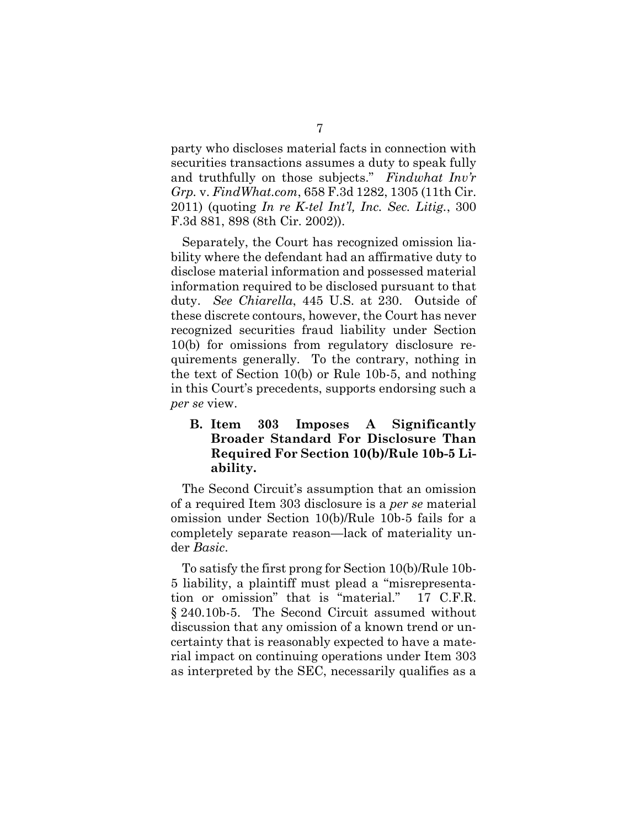party who discloses material facts in connection with securities transactions assumes a duty to speak fully and truthfully on those subjects." *Findwhat Inv'r Grp.* v. *FindWhat.com*, 658 F.3d 1282, 1305 (11th Cir. 2011) (quoting *In re K-tel Int'l, Inc. Sec. Litig.*, 300 F.3d 881, 898 (8th Cir. 2002)).

Separately, the Court has recognized omission liability where the defendant had an affirmative duty to disclose material information and possessed material information required to be disclosed pursuant to that duty. *See Chiarella*, 445 U.S. at 230. Outside of these discrete contours, however, the Court has never recognized securities fraud liability under Section 10(b) for omissions from regulatory disclosure requirements generally. To the contrary, nothing in the text of Section 10(b) or Rule 10b-5, and nothing in this Court's precedents, supports endorsing such a *per se* view.

#### **B. Item 303 Imposes A Significantly Broader Standard For Disclosure Than Required For Section 10(b)/Rule 10b-5 Liability.**

The Second Circuit's assumption that an omission of a required Item 303 disclosure is a *per se* material omission under Section 10(b)/Rule 10b-5 fails for a completely separate reason—lack of materiality under *Basic*.

To satisfy the first prong for Section 10(b)/Rule 10b-5 liability, a plaintiff must plead a "misrepresentation or omission" that is "material." 17 C.F.R. § 240.10b-5. The Second Circuit assumed without discussion that any omission of a known trend or uncertainty that is reasonably expected to have a material impact on continuing operations under Item 303 as interpreted by the SEC, necessarily qualifies as a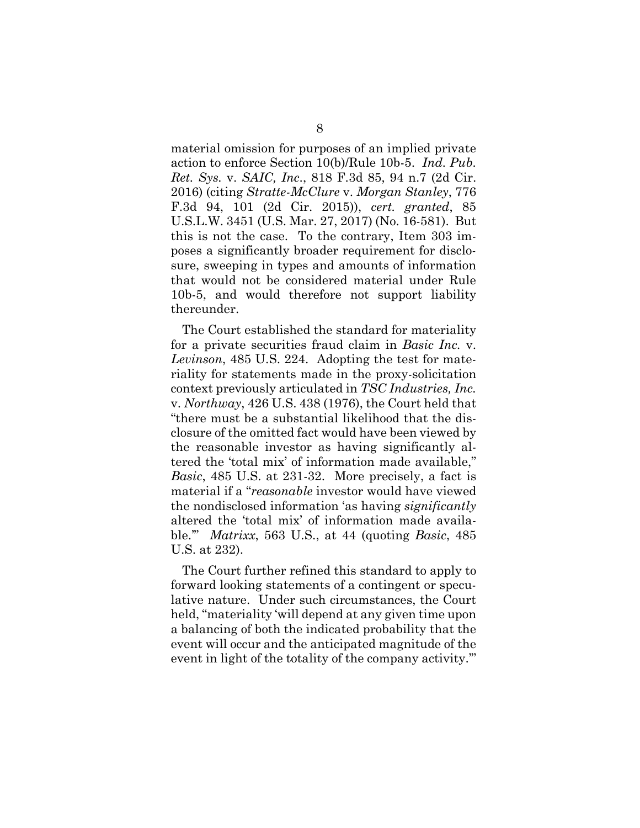material omission for purposes of an implied private action to enforce Section 10(b)/Rule 10b-5. *Ind. Pub. Ret. Sys.* v. *SAIC, Inc*., 818 F.3d 85, 94 n.7 (2d Cir. 2016) (citing *Stratte-McClure* v. *Morgan Stanley*, 776 F.3d 94, 101 (2d Cir. 2015)), *cert. granted*, 85 U.S.L.W. 3451 (U.S. Mar. 27, 2017) (No. 16-581). But this is not the case. To the contrary, Item 303 imposes a significantly broader requirement for disclosure, sweeping in types and amounts of information that would not be considered material under Rule 10b-5, and would therefore not support liability thereunder.

The Court established the standard for materiality for a private securities fraud claim in *Basic Inc.* v. *Levinson*, 485 U.S. 224. Adopting the test for materiality for statements made in the proxy-solicitation context previously articulated in *TSC Industries, Inc.*  v. *Northway*, 426 U.S. 438 (1976), the Court held that "there must be a substantial likelihood that the disclosure of the omitted fact would have been viewed by the reasonable investor as having significantly altered the 'total mix' of information made available," *Basic*, 485 U.S. at 231-32. More precisely, a fact is material if a "*reasonable* investor would have viewed the nondisclosed information 'as having *significantly*  altered the 'total mix' of information made available.'" *Matrixx*, 563 U.S., at 44 (quoting *Basic*, 485 U.S. at 232).

The Court further refined this standard to apply to forward looking statements of a contingent or speculative nature. Under such circumstances, the Court held, "materiality 'will depend at any given time upon a balancing of both the indicated probability that the event will occur and the anticipated magnitude of the event in light of the totality of the company activity.'"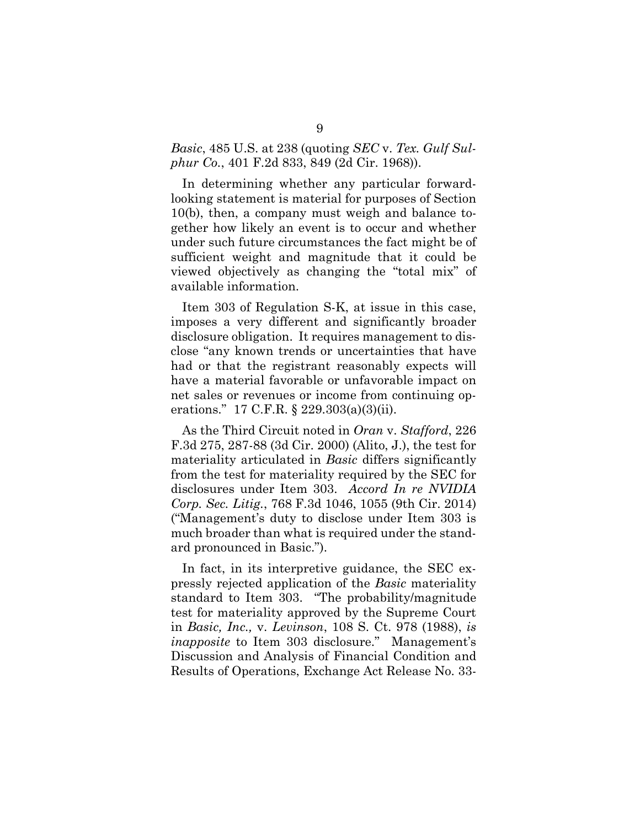*Basic*, 485 U.S. at 238 (quoting *SEC* v. *Tex. Gulf Sulphur Co.*, 401 F.2d 833, 849 (2d Cir. 1968)).

In determining whether any particular forwardlooking statement is material for purposes of Section 10(b), then, a company must weigh and balance together how likely an event is to occur and whether under such future circumstances the fact might be of sufficient weight and magnitude that it could be viewed objectively as changing the "total mix" of available information.

Item 303 of Regulation S-K, at issue in this case, imposes a very different and significantly broader disclosure obligation. It requires management to disclose "any known trends or uncertainties that have had or that the registrant reasonably expects will have a material favorable or unfavorable impact on net sales or revenues or income from continuing operations." 17 C.F.R. § 229.303(a)(3)(ii).

As the Third Circuit noted in *Oran* v. *Stafford*, 226 F.3d 275, 287-88 (3d Cir. 2000) (Alito, J.), the test for materiality articulated in *Basic* differs significantly from the test for materiality required by the SEC for disclosures under Item 303. *Accord In re NVIDIA Corp. Sec. Litig.*, 768 F.3d 1046, 1055 (9th Cir. 2014) ("Management's duty to disclose under Item 303 is much broader than what is required under the standard pronounced in Basic.").

In fact, in its interpretive guidance, the SEC expressly rejected application of the *Basic* materiality standard to Item 303. "The probability/magnitude test for materiality approved by the Supreme Court in *Basic, Inc.,* v. *Levinson*, 108 S. Ct. 978 (1988), *is inapposite* to Item 303 disclosure." Management's Discussion and Analysis of Financial Condition and Results of Operations, Exchange Act Release No. 33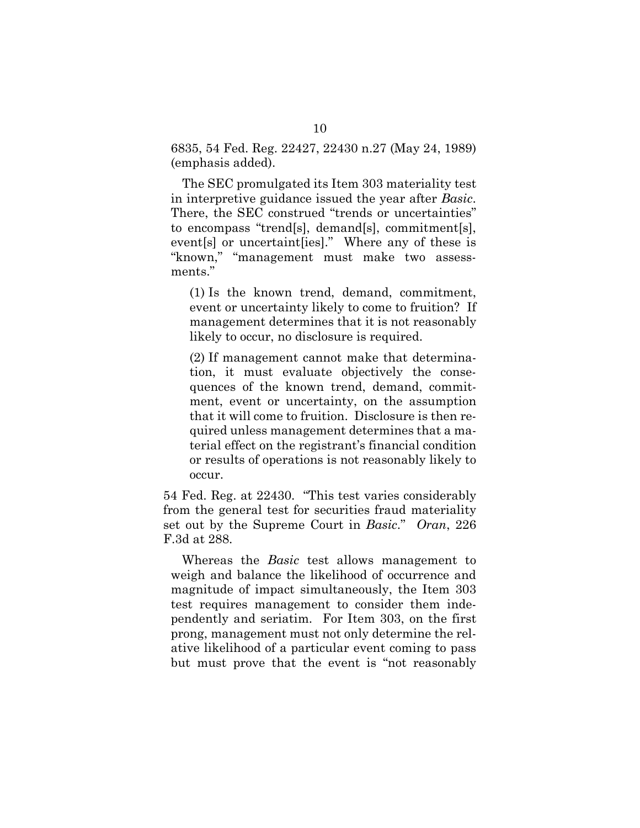6835, 54 Fed. Reg. 22427, 22430 n.27 (May 24, 1989) (emphasis added).

The SEC promulgated its Item 303 materiality test in interpretive guidance issued the year after *Basic*. There, the SEC construed "trends or uncertainties" to encompass "trend[s], demand[s], commitment[s], event[s] or uncertaint[ies]." Where any of these is "known," "management must make two assessments."

(1) Is the known trend, demand, commitment, event or uncertainty likely to come to fruition? If management determines that it is not reasonably likely to occur, no disclosure is required.

(2) If management cannot make that determination, it must evaluate objectively the consequences of the known trend, demand, commitment, event or uncertainty, on the assumption that it will come to fruition. Disclosure is then required unless management determines that a material effect on the registrant's financial condition or results of operations is not reasonably likely to occur.

54 Fed. Reg. at 22430. "This test varies considerably from the general test for securities fraud materiality set out by the Supreme Court in *Basic*." *Oran*, 226 F.3d at 288.

Whereas the *Basic* test allows management to weigh and balance the likelihood of occurrence and magnitude of impact simultaneously, the Item 303 test requires management to consider them independently and seriatim. For Item 303, on the first prong, management must not only determine the relative likelihood of a particular event coming to pass but must prove that the event is "not reasonably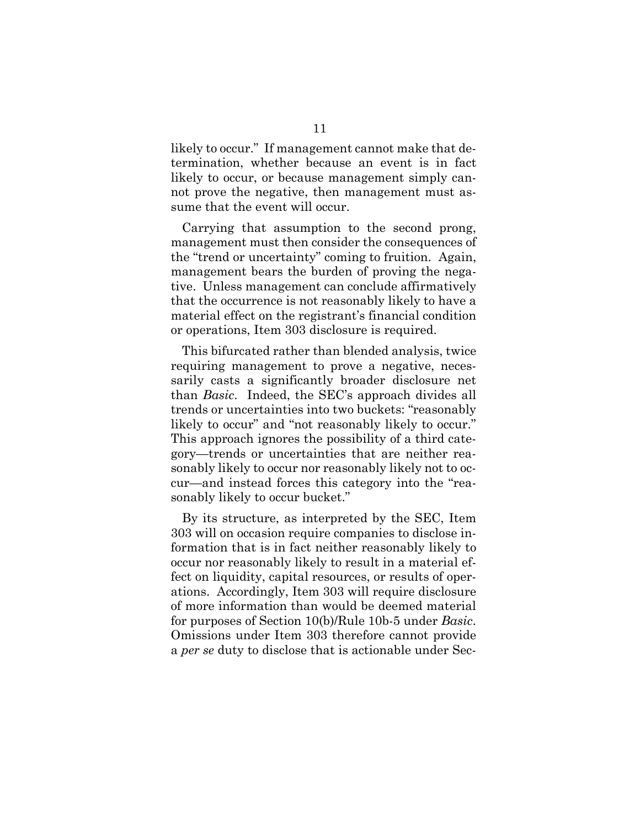likely to occur." If management cannot make that determination, whether because an event is in fact likely to occur, or because management simply cannot prove the negative, then management must assume that the event will occur.

Carrying that assumption to the second prong, management must then consider the consequences of the "trend or uncertainty" coming to fruition. Again, management bears the burden of proving the negative. Unless management can conclude affirmatively that the occurrence is not reasonably likely to have a material effect on the registrant's financial condition or operations, Item 303 disclosure is required.

This bifurcated rather than blended analysis, twice requiring management to prove a negative, necessarily casts a significantly broader disclosure net than *Basic*. Indeed, the SEC's approach divides all trends or uncertainties into two buckets: "reasonably likely to occur" and "not reasonably likely to occur." This approach ignores the possibility of a third category—trends or uncertainties that are neither reasonably likely to occur nor reasonably likely not to occur—and instead forces this category into the "reasonably likely to occur bucket."

By its structure, as interpreted by the SEC, Item 303 will on occasion require companies to disclose information that is in fact neither reasonably likely to occur nor reasonably likely to result in a material effect on liquidity, capital resources, or results of operations. Accordingly, Item 303 will require disclosure of more information than would be deemed material for purposes of Section 10(b)/Rule 10b-5 under *Basic*. Omissions under Item 303 therefore cannot provide a *per se* duty to disclose that is actionable under Sec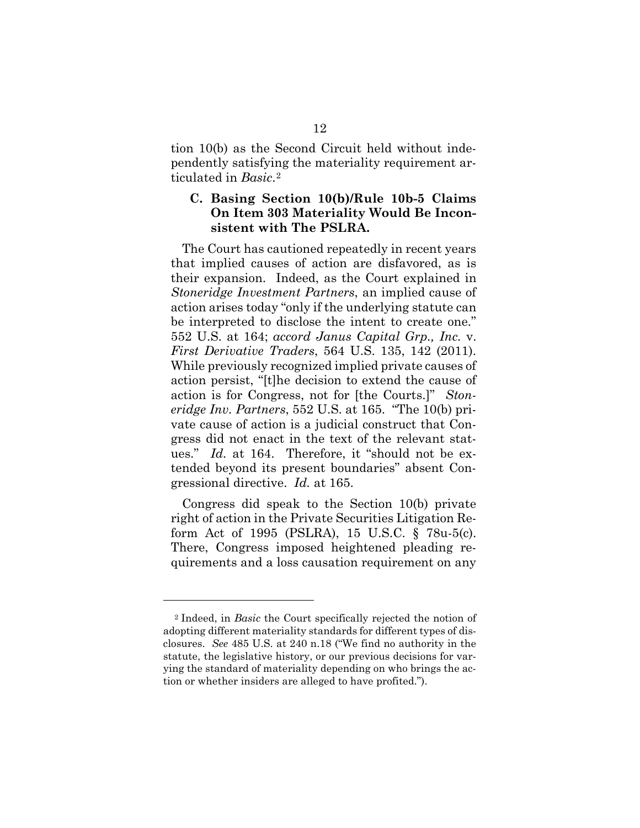tion 10(b) as the Second Circuit held without independently satisfying the materiality requirement articulated in *Basic*.2

#### **C. Basing Section 10(b)/Rule 10b-5 Claims On Item 303 Materiality Would Be Inconsistent with The PSLRA.**

The Court has cautioned repeatedly in recent years that implied causes of action are disfavored, as is their expansion. Indeed, as the Court explained in *Stoneridge Investment Partners*, an implied cause of action arises today "only if the underlying statute can be interpreted to disclose the intent to create one." 552 U.S. at 164; *accord Janus Capital Grp., Inc.* v. *First Derivative Traders*, 564 U.S. 135, 142 (2011). While previously recognized implied private causes of action persist, "[t]he decision to extend the cause of action is for Congress, not for [the Courts.]" *Stoneridge Inv. Partners*, 552 U.S. at 165. "The 10(b) private cause of action is a judicial construct that Congress did not enact in the text of the relevant statues." *Id.* at 164. Therefore, it "should not be extended beyond its present boundaries" absent Congressional directive. *Id.* at 165.

Congress did speak to the Section 10(b) private right of action in the Private Securities Litigation Reform Act of 1995 (PSLRA), 15 U.S.C. § 78u-5(c). There, Congress imposed heightened pleading requirements and a loss causation requirement on any

 $\overline{a}$ 

<sup>2</sup> Indeed, in *Basic* the Court specifically rejected the notion of adopting different materiality standards for different types of disclosures. *See* 485 U.S. at 240 n.18 ("We find no authority in the statute, the legislative history, or our previous decisions for varying the standard of materiality depending on who brings the action or whether insiders are alleged to have profited.").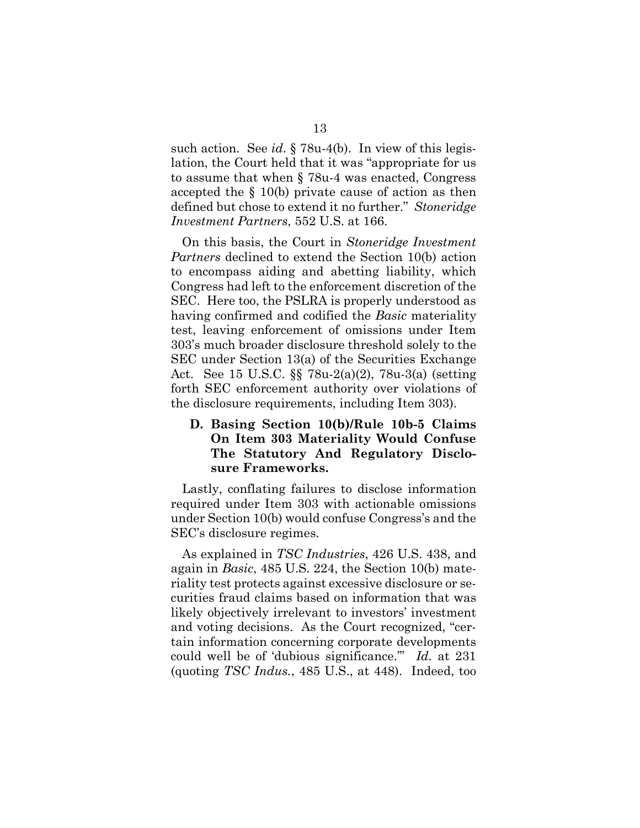such action. See *id*. § 78u-4(b). In view of this legislation, the Court held that it was "appropriate for us to assume that when § 78u-4 was enacted, Congress accepted the § 10(b) private cause of action as then defined but chose to extend it no further." *Stoneridge Investment Partners*, 552 U.S. at 166.

On this basis, the Court in *Stoneridge Investment Partners* declined to extend the Section 10(b) action to encompass aiding and abetting liability, which Congress had left to the enforcement discretion of the SEC. Here too, the PSLRA is properly understood as having confirmed and codified the *Basic* materiality test, leaving enforcement of omissions under Item 303's much broader disclosure threshold solely to the SEC under Section 13(a) of the Securities Exchange Act. See 15 U.S.C. §§ 78u-2(a)(2), 78u-3(a) (setting forth SEC enforcement authority over violations of the disclosure requirements, including Item 303).

#### **D. Basing Section 10(b)/Rule 10b-5 Claims On Item 303 Materiality Would Confuse The Statutory And Regulatory Disclosure Frameworks.**

Lastly, conflating failures to disclose information required under Item 303 with actionable omissions under Section 10(b) would confuse Congress's and the SEC's disclosure regimes.

As explained in *TSC Industries*, 426 U.S. 438, and again in *Basic*, 485 U.S. 224, the Section 10(b) materiality test protects against excessive disclosure or securities fraud claims based on information that was likely objectively irrelevant to investors' investment and voting decisions. As the Court recognized, "certain information concerning corporate developments could well be of 'dubious significance.'" *Id.* at 231 (quoting *TSC Indus.*, 485 U.S., at 448). Indeed, too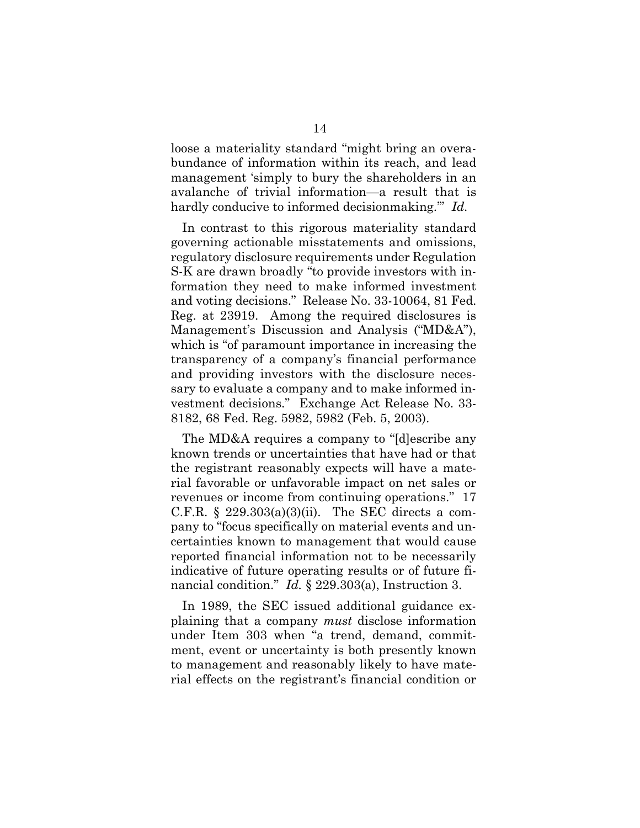loose a materiality standard "might bring an overabundance of information within its reach, and lead management 'simply to bury the shareholders in an avalanche of trivial information—a result that is hardly conducive to informed decisionmaking.'" *Id.*

In contrast to this rigorous materiality standard governing actionable misstatements and omissions, regulatory disclosure requirements under Regulation S-K are drawn broadly "to provide investors with information they need to make informed investment and voting decisions." Release No. 33-10064, 81 Fed. Reg. at 23919. Among the required disclosures is Management's Discussion and Analysis ("MD&A"), which is "of paramount importance in increasing the transparency of a company's financial performance and providing investors with the disclosure necessary to evaluate a company and to make informed investment decisions." Exchange Act Release No. 33- 8182, 68 Fed. Reg. 5982, 5982 (Feb. 5, 2003).

The MD&A requires a company to "[d]escribe any known trends or uncertainties that have had or that the registrant reasonably expects will have a material favorable or unfavorable impact on net sales or revenues or income from continuing operations." 17 C.F.R.  $\S$  229.303(a)(3)(ii). The SEC directs a company to "focus specifically on material events and uncertainties known to management that would cause reported financial information not to be necessarily indicative of future operating results or of future financial condition." *Id.* § 229.303(a), Instruction 3.

In 1989, the SEC issued additional guidance explaining that a company *must* disclose information under Item 303 when "a trend, demand, commitment, event or uncertainty is both presently known to management and reasonably likely to have material effects on the registrant's financial condition or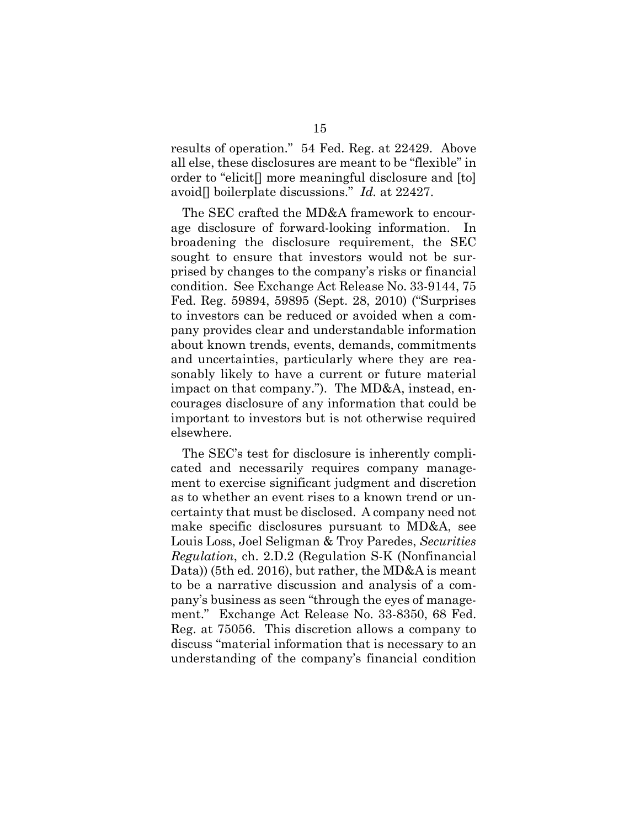results of operation." 54 Fed. Reg. at 22429. Above all else, these disclosures are meant to be "flexible" in order to "elicit[] more meaningful disclosure and [to] avoid[] boilerplate discussions." *Id.* at 22427.

The SEC crafted the MD&A framework to encourage disclosure of forward-looking information. In broadening the disclosure requirement, the SEC sought to ensure that investors would not be surprised by changes to the company's risks or financial condition. See Exchange Act Release No. 33-9144, 75 Fed. Reg. 59894, 59895 (Sept. 28, 2010) ("Surprises to investors can be reduced or avoided when a company provides clear and understandable information about known trends, events, demands, commitments and uncertainties, particularly where they are reasonably likely to have a current or future material impact on that company."). The MD&A, instead, encourages disclosure of any information that could be important to investors but is not otherwise required elsewhere.

The SEC's test for disclosure is inherently complicated and necessarily requires company management to exercise significant judgment and discretion as to whether an event rises to a known trend or uncertainty that must be disclosed. A company need not make specific disclosures pursuant to MD&A, see Louis Loss, Joel Seligman & Troy Paredes, *Securities Regulation*, ch. 2.D.2 (Regulation S-K (Nonfinancial Data)) (5th ed. 2016), but rather, the MD&A is meant to be a narrative discussion and analysis of a company's business as seen "through the eyes of management." Exchange Act Release No. 33-8350, 68 Fed. Reg. at 75056. This discretion allows a company to discuss "material information that is necessary to an understanding of the company's financial condition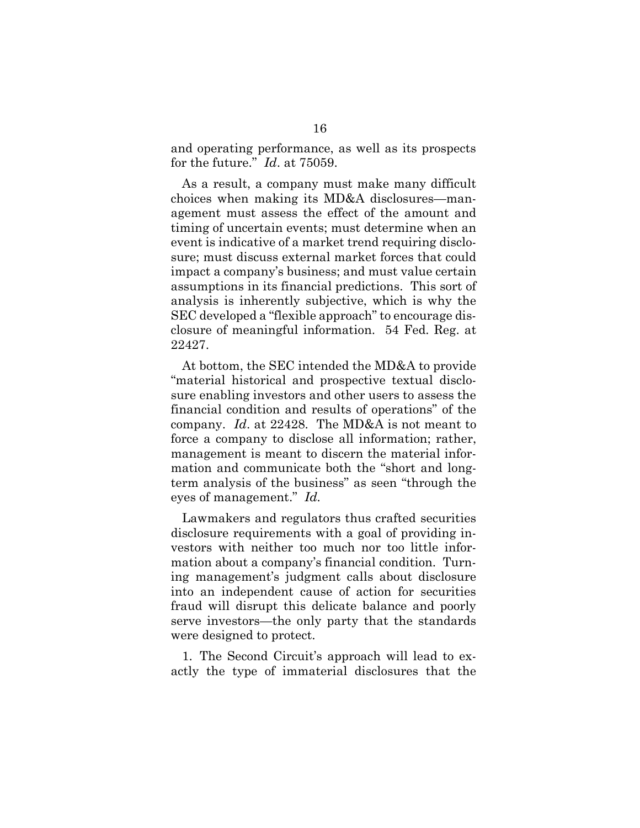and operating performance, as well as its prospects for the future." *Id*. at 75059.

As a result, a company must make many difficult choices when making its MD&A disclosures—management must assess the effect of the amount and timing of uncertain events; must determine when an event is indicative of a market trend requiring disclosure; must discuss external market forces that could impact a company's business; and must value certain assumptions in its financial predictions. This sort of analysis is inherently subjective, which is why the SEC developed a "flexible approach" to encourage disclosure of meaningful information. 54 Fed. Reg. at 22427.

At bottom, the SEC intended the MD&A to provide "material historical and prospective textual disclosure enabling investors and other users to assess the financial condition and results of operations" of the company. *Id*. at 22428. The MD&A is not meant to force a company to disclose all information; rather, management is meant to discern the material information and communicate both the "short and longterm analysis of the business" as seen "through the eyes of management." *Id.*

Lawmakers and regulators thus crafted securities disclosure requirements with a goal of providing investors with neither too much nor too little information about a company's financial condition. Turning management's judgment calls about disclosure into an independent cause of action for securities fraud will disrupt this delicate balance and poorly serve investors—the only party that the standards were designed to protect.

1. The Second Circuit's approach will lead to exactly the type of immaterial disclosures that the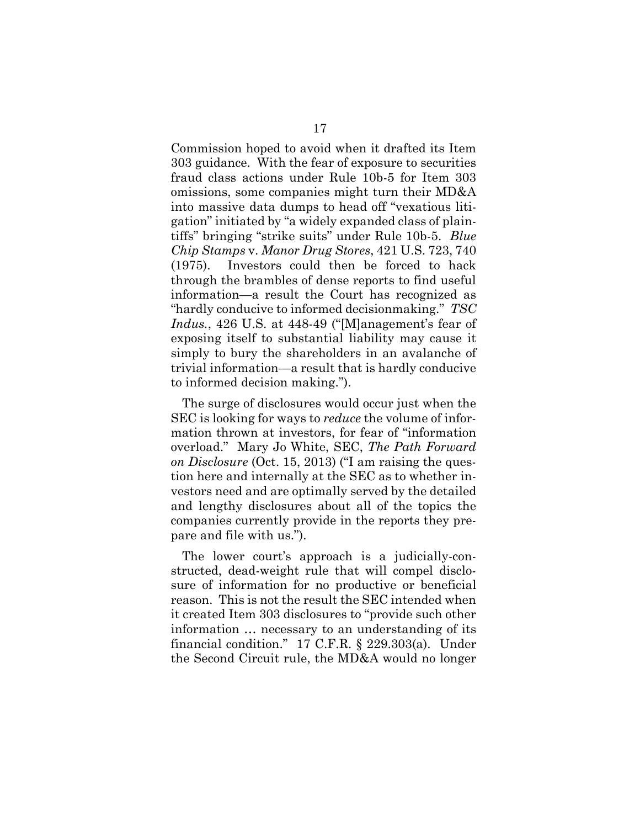Commission hoped to avoid when it drafted its Item 303 guidance. With the fear of exposure to securities fraud class actions under Rule 10b-5 for Item 303 omissions, some companies might turn their MD&A into massive data dumps to head off "vexatious litigation" initiated by "a widely expanded class of plaintiffs" bringing "strike suits" under Rule 10b-5. *Blue Chip Stamps* v. *Manor Drug Stores*, 421 U.S. 723, 740 (1975). Investors could then be forced to hack through the brambles of dense reports to find useful information—a result the Court has recognized as "hardly conducive to informed decisionmaking." *TSC Indus.*, 426 U.S. at 448-49 ("[M]anagement's fear of exposing itself to substantial liability may cause it simply to bury the shareholders in an avalanche of trivial information—a result that is hardly conducive to informed decision making.").

The surge of disclosures would occur just when the SEC is looking for ways to *reduce* the volume of information thrown at investors, for fear of "information overload." Mary Jo White, SEC, *The Path Forward on Disclosure* (Oct. 15, 2013) ("I am raising the question here and internally at the SEC as to whether investors need and are optimally served by the detailed and lengthy disclosures about all of the topics the companies currently provide in the reports they prepare and file with us.").

The lower court's approach is a judicially-constructed, dead-weight rule that will compel disclosure of information for no productive or beneficial reason. This is not the result the SEC intended when it created Item 303 disclosures to "provide such other information … necessary to an understanding of its financial condition." 17 C.F.R. § 229.303(a). Under the Second Circuit rule, the MD&A would no longer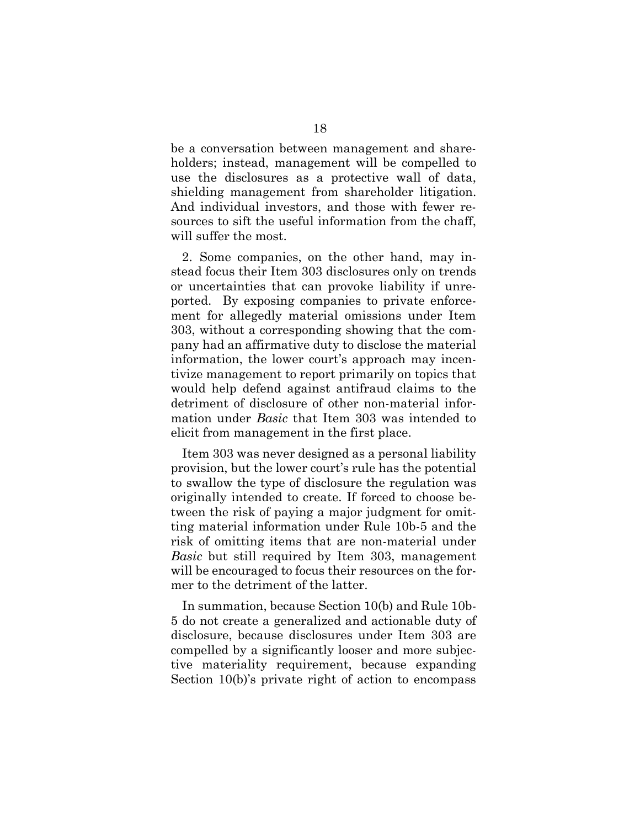be a conversation between management and shareholders; instead, management will be compelled to use the disclosures as a protective wall of data, shielding management from shareholder litigation. And individual investors, and those with fewer resources to sift the useful information from the chaff, will suffer the most.

2. Some companies, on the other hand, may instead focus their Item 303 disclosures only on trends or uncertainties that can provoke liability if unreported. By exposing companies to private enforcement for allegedly material omissions under Item 303, without a corresponding showing that the company had an affirmative duty to disclose the material information, the lower court's approach may incentivize management to report primarily on topics that would help defend against antifraud claims to the detriment of disclosure of other non-material information under *Basic* that Item 303 was intended to elicit from management in the first place.

Item 303 was never designed as a personal liability provision, but the lower court's rule has the potential to swallow the type of disclosure the regulation was originally intended to create. If forced to choose between the risk of paying a major judgment for omitting material information under Rule 10b-5 and the risk of omitting items that are non-material under *Basic* but still required by Item 303, management will be encouraged to focus their resources on the former to the detriment of the latter.

In summation, because Section 10(b) and Rule 10b-5 do not create a generalized and actionable duty of disclosure, because disclosures under Item 303 are compelled by a significantly looser and more subjective materiality requirement, because expanding Section 10(b)'s private right of action to encompass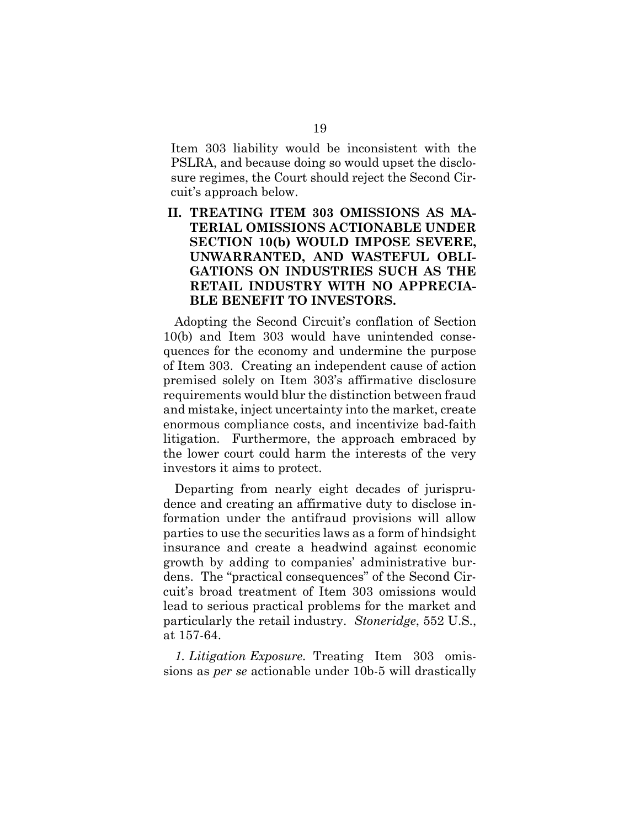Item 303 liability would be inconsistent with the PSLRA, and because doing so would upset the disclosure regimes, the Court should reject the Second Circuit's approach below.

**II. TREATING ITEM 303 OMISSIONS AS MA-TERIAL OMISSIONS ACTIONABLE UNDER SECTION 10(b) WOULD IMPOSE SEVERE, UNWARRANTED, AND WASTEFUL OBLI-GATIONS ON INDUSTRIES SUCH AS THE RETAIL INDUSTRY WITH NO APPRECIA-BLE BENEFIT TO INVESTORS.** 

Adopting the Second Circuit's conflation of Section 10(b) and Item 303 would have unintended consequences for the economy and undermine the purpose of Item 303. Creating an independent cause of action premised solely on Item 303's affirmative disclosure requirements would blur the distinction between fraud and mistake, inject uncertainty into the market, create enormous compliance costs, and incentivize bad-faith litigation. Furthermore, the approach embraced by the lower court could harm the interests of the very investors it aims to protect.

Departing from nearly eight decades of jurisprudence and creating an affirmative duty to disclose information under the antifraud provisions will allow parties to use the securities laws as a form of hindsight insurance and create a headwind against economic growth by adding to companies' administrative burdens. The "practical consequences" of the Second Circuit's broad treatment of Item 303 omissions would lead to serious practical problems for the market and particularly the retail industry. *Stoneridge*, 552 U.S., at 157-64.

*1. Litigation Exposure.* Treating Item 303 omissions as *per se* actionable under 10b-5 will drastically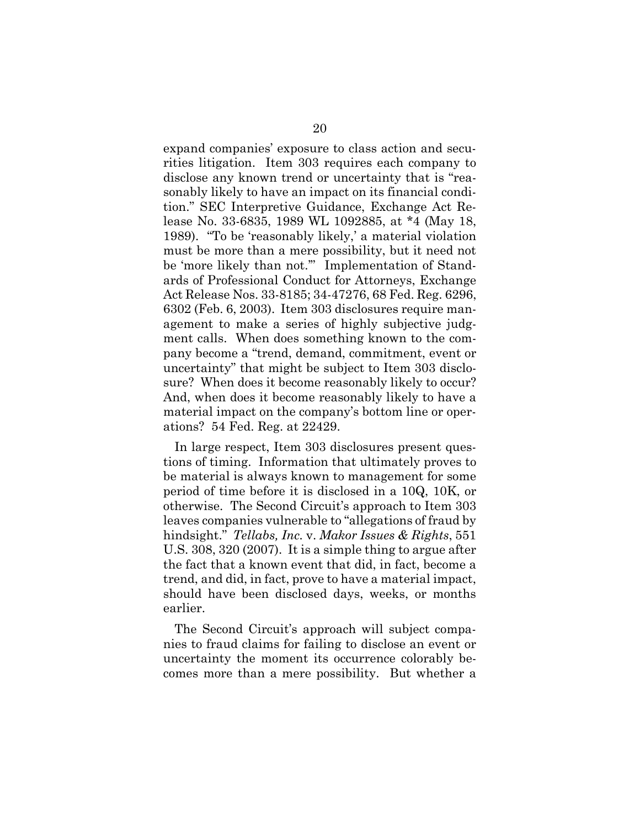expand companies' exposure to class action and securities litigation. Item 303 requires each company to disclose any known trend or uncertainty that is "reasonably likely to have an impact on its financial condition." SEC Interpretive Guidance, Exchange Act Release No. 33-6835, 1989 WL 1092885, at \*4 (May 18, 1989). "To be 'reasonably likely,' a material violation must be more than a mere possibility, but it need not be 'more likely than not.'" Implementation of Standards of Professional Conduct for Attorneys, Exchange Act Release Nos. 33-8185; 34-47276, 68 Fed. Reg. 6296, 6302 (Feb. 6, 2003). Item 303 disclosures require management to make a series of highly subjective judgment calls. When does something known to the company become a "trend, demand, commitment, event or uncertainty" that might be subject to Item 303 disclosure? When does it become reasonably likely to occur? And, when does it become reasonably likely to have a material impact on the company's bottom line or operations? 54 Fed. Reg. at 22429.

In large respect, Item 303 disclosures present questions of timing. Information that ultimately proves to be material is always known to management for some period of time before it is disclosed in a 10Q, 10K, or otherwise. The Second Circuit's approach to Item 303 leaves companies vulnerable to "allegations of fraud by hindsight." *Tellabs, Inc.* v. *Makor Issues & Rights*, 551 U.S. 308, 320 (2007). It is a simple thing to argue after the fact that a known event that did, in fact, become a trend, and did, in fact, prove to have a material impact, should have been disclosed days, weeks, or months earlier.

The Second Circuit's approach will subject companies to fraud claims for failing to disclose an event or uncertainty the moment its occurrence colorably becomes more than a mere possibility. But whether a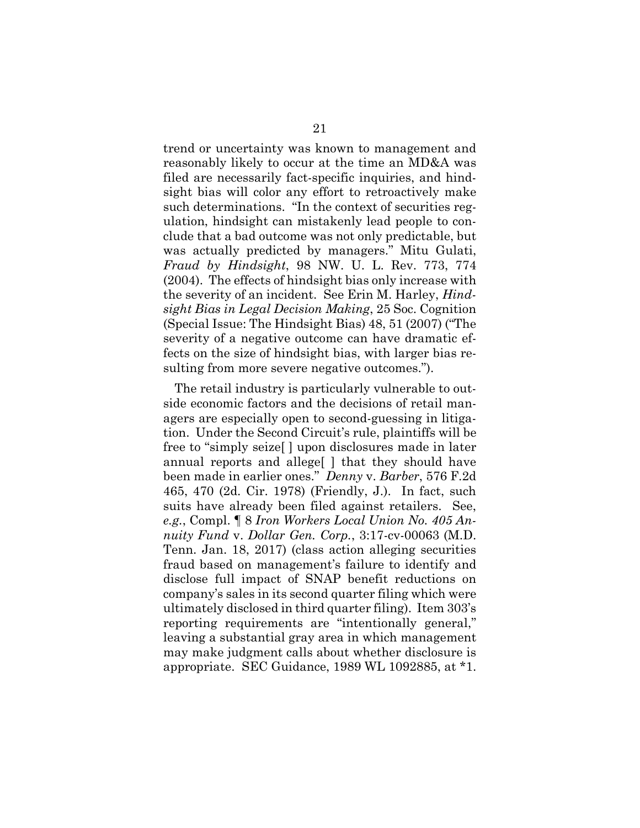trend or uncertainty was known to management and reasonably likely to occur at the time an MD&A was filed are necessarily fact-specific inquiries, and hindsight bias will color any effort to retroactively make such determinations. "In the context of securities regulation, hindsight can mistakenly lead people to conclude that a bad outcome was not only predictable, but was actually predicted by managers." Mitu Gulati, *Fraud by Hindsight*, 98 NW. U. L. Rev. 773, 774 (2004). The effects of hindsight bias only increase with the severity of an incident. See Erin M. Harley, *Hindsight Bias in Legal Decision Making*, 25 Soc. Cognition (Special Issue: The Hindsight Bias) 48, 51 (2007) ("The severity of a negative outcome can have dramatic effects on the size of hindsight bias, with larger bias resulting from more severe negative outcomes.").

The retail industry is particularly vulnerable to outside economic factors and the decisions of retail managers are especially open to second-guessing in litigation. Under the Second Circuit's rule, plaintiffs will be free to "simply seize[ ] upon disclosures made in later annual reports and allege[ ] that they should have been made in earlier ones." *Denny* v. *Barber*, 576 F.2d 465, 470 (2d. Cir. 1978) (Friendly, J.). In fact, such suits have already been filed against retailers. See, *e.g.*, Compl. ¶ 8 *Iron Workers Local Union No. 405 Annuity Fund* v. *Dollar Gen. Corp.*, 3:17-cv-00063 (M.D. Tenn. Jan. 18, 2017) (class action alleging securities fraud based on management's failure to identify and disclose full impact of SNAP benefit reductions on company's sales in its second quarter filing which were ultimately disclosed in third quarter filing). Item 303's reporting requirements are "intentionally general," leaving a substantial gray area in which management may make judgment calls about whether disclosure is appropriate. SEC Guidance, 1989 WL 1092885, at \*1.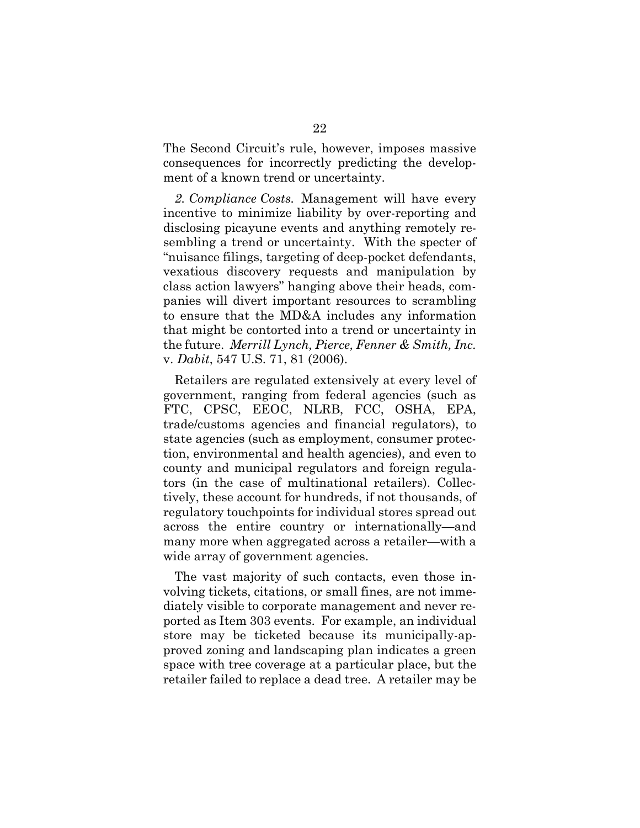The Second Circuit's rule, however, imposes massive consequences for incorrectly predicting the development of a known trend or uncertainty.

*2. Compliance Costs.* Management will have every incentive to minimize liability by over-reporting and disclosing picayune events and anything remotely resembling a trend or uncertainty. With the specter of "nuisance filings, targeting of deep-pocket defendants, vexatious discovery requests and manipulation by class action lawyers" hanging above their heads, companies will divert important resources to scrambling to ensure that the MD&A includes any information that might be contorted into a trend or uncertainty in the future. *Merrill Lynch, Pierce, Fenner & Smith, Inc.*  v. *Dabit*, 547 U.S. 71, 81 (2006).

Retailers are regulated extensively at every level of government, ranging from federal agencies (such as FTC, CPSC, EEOC, NLRB, FCC, OSHA, EPA, trade/customs agencies and financial regulators), to state agencies (such as employment, consumer protection, environmental and health agencies), and even to county and municipal regulators and foreign regulators (in the case of multinational retailers). Collectively, these account for hundreds, if not thousands, of regulatory touchpoints for individual stores spread out across the entire country or internationally—and many more when aggregated across a retailer—with a wide array of government agencies.

The vast majority of such contacts, even those involving tickets, citations, or small fines, are not immediately visible to corporate management and never reported as Item 303 events. For example, an individual store may be ticketed because its municipally-approved zoning and landscaping plan indicates a green space with tree coverage at a particular place, but the retailer failed to replace a dead tree. A retailer may be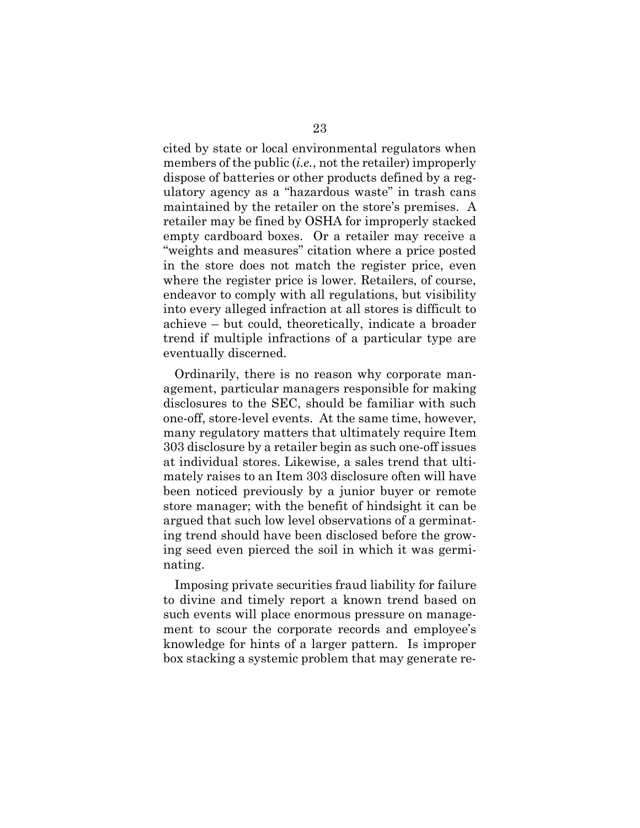cited by state or local environmental regulators when members of the public (*i.e.*, not the retailer) improperly dispose of batteries or other products defined by a regulatory agency as a "hazardous waste" in trash cans maintained by the retailer on the store's premises. A retailer may be fined by OSHA for improperly stacked empty cardboard boxes. Or a retailer may receive a "weights and measures" citation where a price posted in the store does not match the register price, even where the register price is lower. Retailers, of course, endeavor to comply with all regulations, but visibility into every alleged infraction at all stores is difficult to achieve – but could, theoretically, indicate a broader trend if multiple infractions of a particular type are eventually discerned.

Ordinarily, there is no reason why corporate management, particular managers responsible for making disclosures to the SEC, should be familiar with such one-off, store-level events. At the same time, however, many regulatory matters that ultimately require Item 303 disclosure by a retailer begin as such one-off issues at individual stores. Likewise, a sales trend that ultimately raises to an Item 303 disclosure often will have been noticed previously by a junior buyer or remote store manager; with the benefit of hindsight it can be argued that such low level observations of a germinating trend should have been disclosed before the growing seed even pierced the soil in which it was germinating.

Imposing private securities fraud liability for failure to divine and timely report a known trend based on such events will place enormous pressure on management to scour the corporate records and employee's knowledge for hints of a larger pattern. Is improper box stacking a systemic problem that may generate re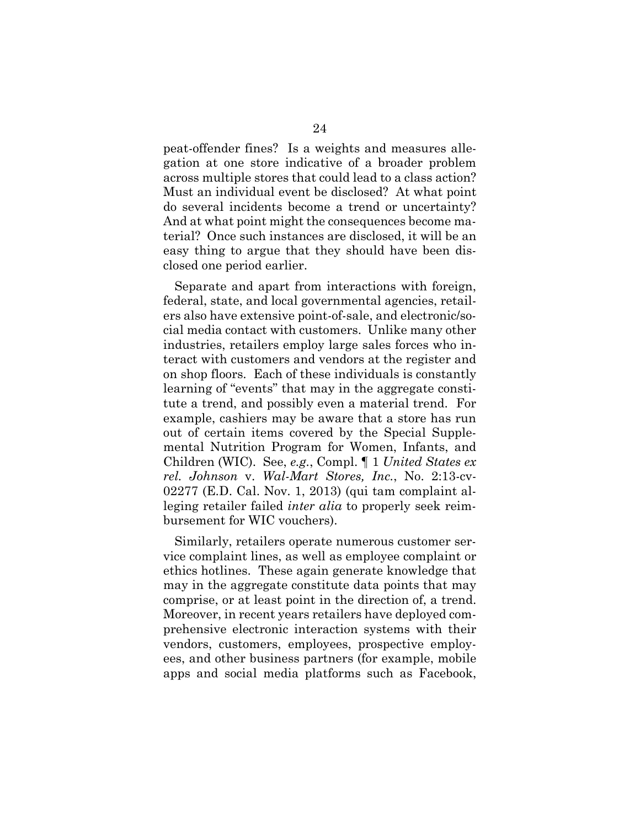peat-offender fines? Is a weights and measures allegation at one store indicative of a broader problem across multiple stores that could lead to a class action? Must an individual event be disclosed? At what point do several incidents become a trend or uncertainty? And at what point might the consequences become material? Once such instances are disclosed, it will be an easy thing to argue that they should have been disclosed one period earlier.

Separate and apart from interactions with foreign, federal, state, and local governmental agencies, retailers also have extensive point-of-sale, and electronic/social media contact with customers. Unlike many other industries, retailers employ large sales forces who interact with customers and vendors at the register and on shop floors. Each of these individuals is constantly learning of "events" that may in the aggregate constitute a trend, and possibly even a material trend. For example, cashiers may be aware that a store has run out of certain items covered by the Special Supplemental Nutrition Program for Women, Infants, and Children (WIC). See, *e.g.*, Compl. ¶ 1 *United States ex rel. Johnson* v. *Wal-Mart Stores, Inc.*, No. 2:13-cv-02277 (E.D. Cal. Nov. 1, 2013) (qui tam complaint alleging retailer failed *inter alia* to properly seek reimbursement for WIC vouchers).

Similarly, retailers operate numerous customer service complaint lines, as well as employee complaint or ethics hotlines. These again generate knowledge that may in the aggregate constitute data points that may comprise, or at least point in the direction of, a trend. Moreover, in recent years retailers have deployed comprehensive electronic interaction systems with their vendors, customers, employees, prospective employees, and other business partners (for example, mobile apps and social media platforms such as Facebook,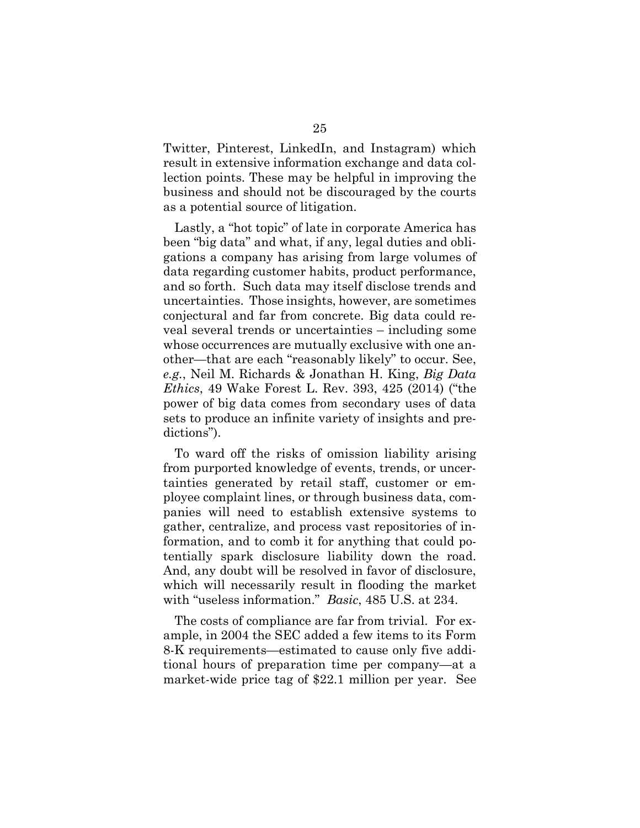Twitter, Pinterest, LinkedIn, and Instagram) which result in extensive information exchange and data collection points. These may be helpful in improving the business and should not be discouraged by the courts as a potential source of litigation.

Lastly, a "hot topic" of late in corporate America has been "big data" and what, if any, legal duties and obligations a company has arising from large volumes of data regarding customer habits, product performance, and so forth. Such data may itself disclose trends and uncertainties. Those insights, however, are sometimes conjectural and far from concrete. Big data could reveal several trends or uncertainties – including some whose occurrences are mutually exclusive with one another—that are each "reasonably likely" to occur. See, *e.g.*, Neil M. Richards & Jonathan H. King, *Big Data Ethics*, 49 Wake Forest L. Rev. 393, 425 (2014) ("the power of big data comes from secondary uses of data sets to produce an infinite variety of insights and predictions").

To ward off the risks of omission liability arising from purported knowledge of events, trends, or uncertainties generated by retail staff, customer or employee complaint lines, or through business data, companies will need to establish extensive systems to gather, centralize, and process vast repositories of information, and to comb it for anything that could potentially spark disclosure liability down the road. And, any doubt will be resolved in favor of disclosure, which will necessarily result in flooding the market with "useless information." *Basic*, 485 U.S. at 234.

The costs of compliance are far from trivial. For example, in 2004 the SEC added a few items to its Form 8-K requirements—estimated to cause only five additional hours of preparation time per company—at a market-wide price tag of \$22.1 million per year. See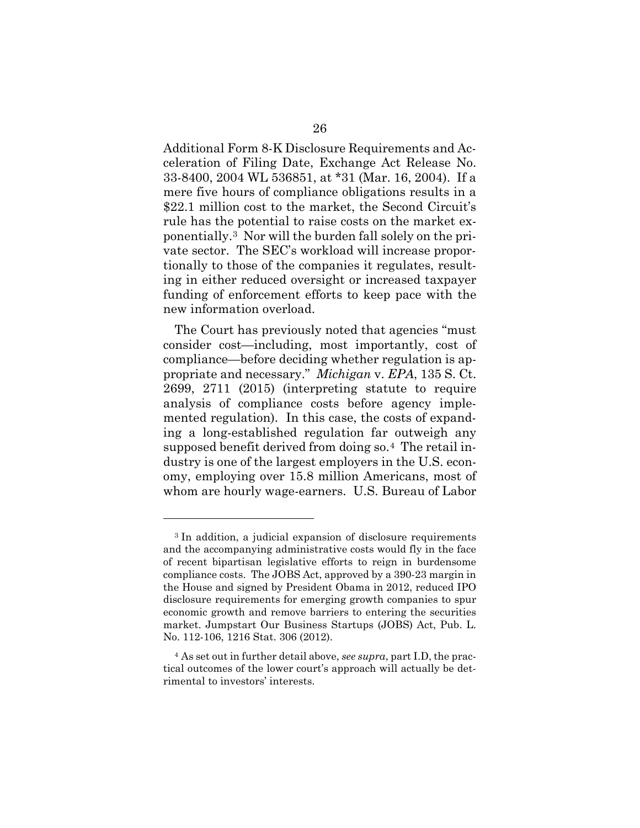Additional Form 8-K Disclosure Requirements and Acceleration of Filing Date, Exchange Act Release No. 33-8400, 2004 WL 536851, at \*31 (Mar. 16, 2004). If a mere five hours of compliance obligations results in a \$22.1 million cost to the market, the Second Circuit's rule has the potential to raise costs on the market exponentially.3 Nor will the burden fall solely on the private sector. The SEC's workload will increase proportionally to those of the companies it regulates, resulting in either reduced oversight or increased taxpayer funding of enforcement efforts to keep pace with the new information overload.

The Court has previously noted that agencies "must consider cost—including, most importantly, cost of compliance—before deciding whether regulation is appropriate and necessary." *Michigan* v. *EPA*, 135 S. Ct. 2699, 2711 (2015) (interpreting statute to require analysis of compliance costs before agency implemented regulation). In this case, the costs of expanding a long-established regulation far outweigh any supposed benefit derived from doing so.4 The retail industry is one of the largest employers in the U.S. economy, employing over 15.8 million Americans, most of whom are hourly wage-earners. U.S. Bureau of Labor

 $\overline{a}$ 

<sup>&</sup>lt;sup>3</sup> In addition, a judicial expansion of disclosure requirements and the accompanying administrative costs would fly in the face of recent bipartisan legislative efforts to reign in burdensome compliance costs. The JOBS Act, approved by a 390-23 margin in the House and signed by President Obama in 2012, reduced IPO disclosure requirements for emerging growth companies to spur economic growth and remove barriers to entering the securities market. Jumpstart Our Business Startups (JOBS) Act, Pub. L. No. 112-106, 1216 Stat. 306 (2012).

<sup>4</sup> As set out in further detail above, *see supra*, part I.D, the practical outcomes of the lower court's approach will actually be detrimental to investors' interests.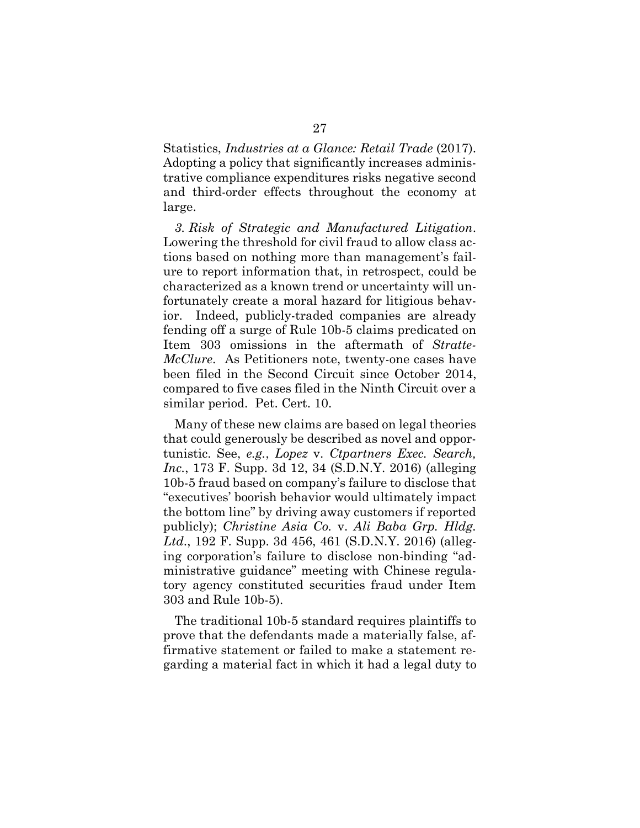Statistics, *Industries at a Glance: Retail Trade* (2017). Adopting a policy that significantly increases administrative compliance expenditures risks negative second and third-order effects throughout the economy at large.

*3. Risk of Strategic and Manufactured Litigation*. Lowering the threshold for civil fraud to allow class actions based on nothing more than management's failure to report information that, in retrospect, could be characterized as a known trend or uncertainty will unfortunately create a moral hazard for litigious behavior. Indeed, publicly-traded companies are already fending off a surge of Rule 10b-5 claims predicated on Item 303 omissions in the aftermath of *Stratte-McClure*. As Petitioners note, twenty-one cases have been filed in the Second Circuit since October 2014, compared to five cases filed in the Ninth Circuit over a similar period. Pet. Cert. 10.

Many of these new claims are based on legal theories that could generously be described as novel and opportunistic. See, *e.g.*, *Lopez* v. *Ctpartners Exec. Search, Inc.*, 173 F. Supp. 3d 12, 34 (S.D.N.Y. 2016) (alleging 10b-5 fraud based on company's failure to disclose that "executives' boorish behavior would ultimately impact the bottom line" by driving away customers if reported publicly); *Christine Asia Co.* v. *Ali Baba Grp. Hldg. Ltd*., 192 F. Supp. 3d 456, 461 (S.D.N.Y. 2016) (alleging corporation's failure to disclose non-binding "administrative guidance" meeting with Chinese regulatory agency constituted securities fraud under Item 303 and Rule 10b-5).

The traditional 10b-5 standard requires plaintiffs to prove that the defendants made a materially false, affirmative statement or failed to make a statement regarding a material fact in which it had a legal duty to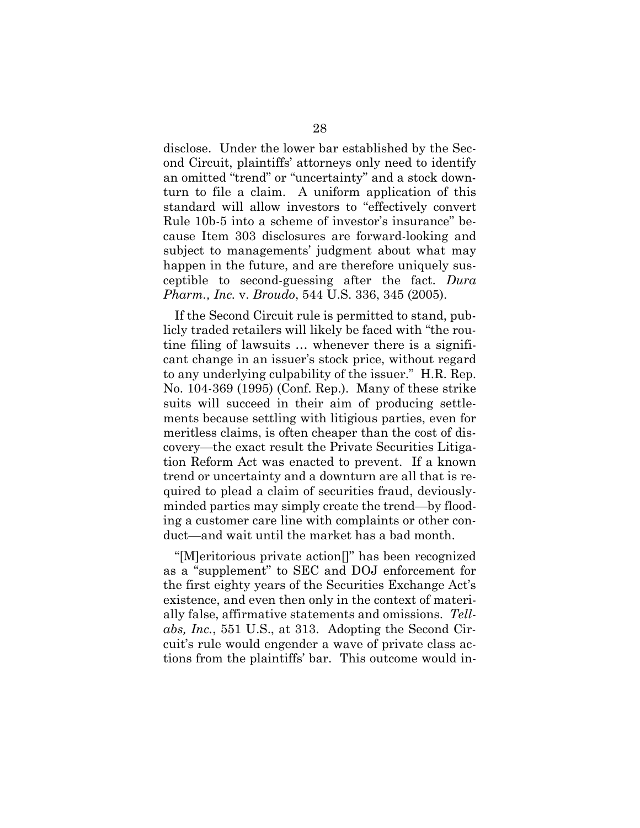disclose. Under the lower bar established by the Second Circuit, plaintiffs' attorneys only need to identify an omitted "trend" or "uncertainty" and a stock downturn to file a claim. A uniform application of this standard will allow investors to "effectively convert Rule 10b-5 into a scheme of investor's insurance" because Item 303 disclosures are forward-looking and subject to managements' judgment about what may happen in the future, and are therefore uniquely susceptible to second-guessing after the fact. *Dura Pharm., Inc.* v. *Broudo*, 544 U.S. 336, 345 (2005).

If the Second Circuit rule is permitted to stand, publicly traded retailers will likely be faced with "the routine filing of lawsuits … whenever there is a significant change in an issuer's stock price, without regard to any underlying culpability of the issuer." H.R. Rep. No. 104-369 (1995) (Conf. Rep.). Many of these strike suits will succeed in their aim of producing settlements because settling with litigious parties, even for meritless claims, is often cheaper than the cost of discovery—the exact result the Private Securities Litigation Reform Act was enacted to prevent. If a known trend or uncertainty and a downturn are all that is required to plead a claim of securities fraud, deviouslyminded parties may simply create the trend—by flooding a customer care line with complaints or other conduct—and wait until the market has a bad month.

"[M]eritorious private action[]" has been recognized as a "supplement" to SEC and DOJ enforcement for the first eighty years of the Securities Exchange Act's existence, and even then only in the context of materially false, affirmative statements and omissions. *Tellabs, Inc.*, 551 U.S., at 313. Adopting the Second Circuit's rule would engender a wave of private class actions from the plaintiffs' bar. This outcome would in